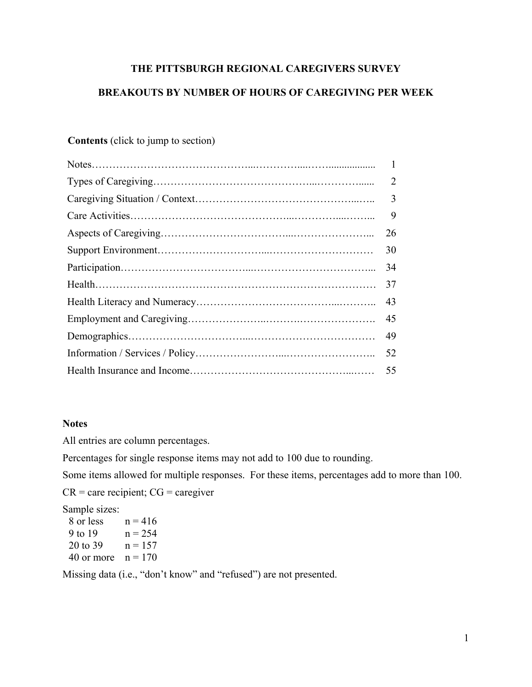# **THE PITTSBURGH REGIONAL CAREGIVERS SURVEY**

# **BREAKOUTS BY NUMBER OF HOURS OF CAREGIVING PER WEEK**

# **Contents** (click to jump to section)

| $\overline{2}$ |
|----------------|
| $\overline{3}$ |
| 9              |
| 26             |
| 30             |
| 34             |
| 37             |
| 43             |
| 45             |
| 49             |
| 52             |
| 55             |
|                |

### **Notes**

All entries are column percentages.

Percentages for single response items may not add to 100 due to rounding.

Some items allowed for multiple responses. For these items, percentages add to more than 100.

 $CR =$  care recipient;  $CG =$  caregiver

Sample sizes:

| 8 or less  | $n = 416$ |
|------------|-----------|
| 9 to 19    | $n = 254$ |
| 20 to 39   | $n = 157$ |
| 40 or more | $n = 170$ |

Missing data (i.e., "don't know" and "refused") are not presented.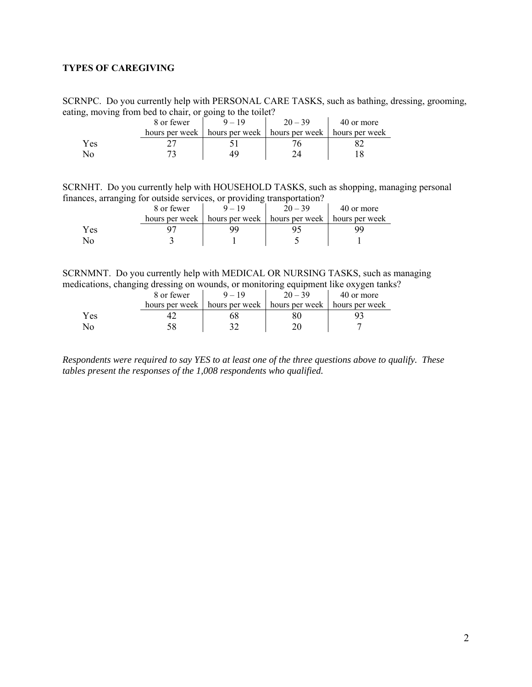### <span id="page-1-0"></span>**TYPES OF CAREGIVING**

SCRNPC. Do you currently help with PERSONAL CARE TASKS, such as bathing, dressing, grooming, eating, moving from bed to chair, or going to the toilet?

|     | 8 or fewer     | $20 - 39$                                        | 40 or more |
|-----|----------------|--------------------------------------------------|------------|
|     | hours per week | hours per week   hours per week   hours per week |            |
| Yes |                |                                                  |            |
|     |                |                                                  |            |

SCRNHT. Do you currently help with HOUSEHOLD TASKS, such as shopping, managing personal finances, arranging for outside services, or providing transportation?

|     | 8 or fewer | $-19$                                                             | $20 - 39$ | 40 or more |
|-----|------------|-------------------------------------------------------------------|-----------|------------|
|     |            | hours per week   hours per week   hours per week   hours per week |           |            |
| Yes |            |                                                                   |           |            |
| No  |            |                                                                   |           |            |

SCRNMNT. Do you currently help with MEDICAL OR NURSING TASKS, such as managing medications, changing dressing on wounds, or monitoring equipment like oxygen tanks?

|     | 8 or fewer     | $-19$ | $20 - 39$                       | 40 or more     |
|-----|----------------|-------|---------------------------------|----------------|
|     | hours per week |       | hours per week   hours per week | hours per week |
| Yes |                |       |                                 |                |
| No  |                |       |                                 |                |

*Respondents were required to say YES to at least one of the three questions above to qualify. These tables present the responses of the 1,008 respondents who qualified.*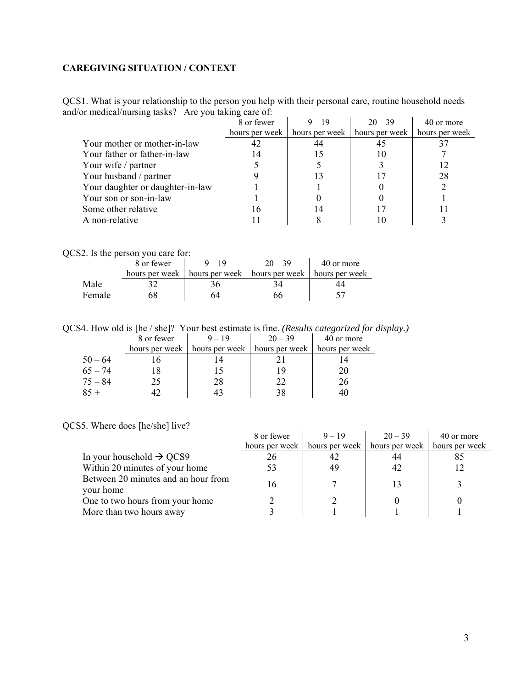### <span id="page-2-0"></span>**CAREGIVING SITUATION / CONTEXT**

QCS1. What is your relationship to the person you help with their personal care, routine household needs and/or medical/nursing tasks? Are you taking care of:

|                                  | 8 or fewer     | $9 - 19$       | $20 - 39$      | 40 or more     |
|----------------------------------|----------------|----------------|----------------|----------------|
|                                  | hours per week | hours per week | hours per week | hours per week |
| Your mother or mother-in-law     | 42             | 44             | 45             |                |
| Your father or father-in-law     | 14             |                | 10             |                |
| Your wife / partner              |                |                |                |                |
| Your husband / partner           |                |                |                | 28             |
| Your daughter or daughter-in-law |                |                |                |                |
| Your son or son-in-law           |                |                |                |                |
| Some other relative              | 16             | 14             |                |                |
| A non-relative                   |                |                | 10             |                |

QCS2. Is the person you care for:

|        | 8 or fewer     |                                 | $20 - 39$ | 40 or more     |
|--------|----------------|---------------------------------|-----------|----------------|
|        | hours per week | hours per week   hours per week |           | hours per week |
| Male   |                |                                 |           |                |
| Female |                |                                 |           |                |

QCS4. How old is [he / she]? Your best estimate is fine. *(Results categorized for display.)*

|           | 8 or fewer     | $9 - 19$ | $20 - 39$                                   | 40 or more     |
|-----------|----------------|----------|---------------------------------------------|----------------|
|           | hours per week |          | hours per week $\mid$ hours per week $\mid$ | hours per week |
| $50 - 64$ |                |          |                                             |                |
| $65 - 74$ |                |          | 1 Q                                         | 20             |
| $75 - 84$ | 25.            | 28       | つつ                                          | 26             |
| $85 +$    |                |          | 38                                          |                |

QCS5. Where does [he/she] live?

|                                      | 8 or fewer     | $9 - 19$       | $20 - 39$      | 40 or more     |
|--------------------------------------|----------------|----------------|----------------|----------------|
|                                      | hours per week | hours per week | hours per week | hours per week |
| In your household $\rightarrow$ QCS9 | 26             | 42             |                |                |
| Within 20 minutes of your home       |                | 49             | 42             |                |
| Between 20 minutes and an hour from  | 16             |                |                |                |
| your home                            |                |                |                |                |
| One to two hours from your home      |                |                |                |                |
| More than two hours away             |                |                |                |                |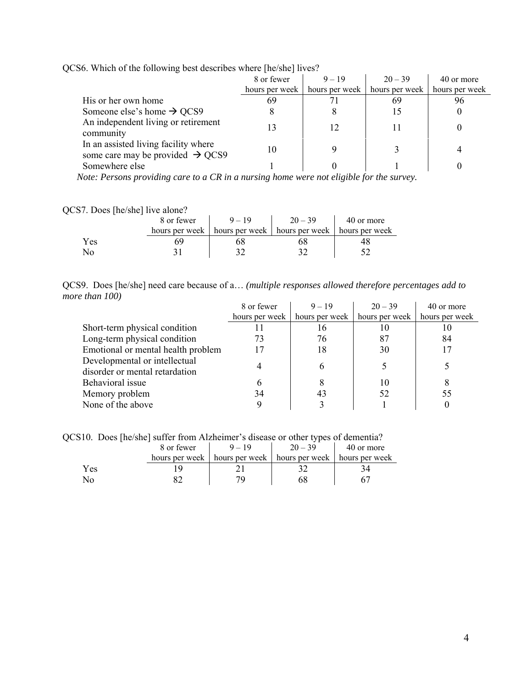|                                                                                      | 8 or fewer     | $9 - 19$       | $20 - 39$      | 40 or more     |
|--------------------------------------------------------------------------------------|----------------|----------------|----------------|----------------|
|                                                                                      | hours per week | hours per week | hours per week | hours per week |
| His or her own home                                                                  |                |                | 69             |                |
| Someone else's home $\rightarrow$ QCS9                                               |                |                |                |                |
| An independent living or retirement<br>community                                     | 13             | 12             | 11             |                |
| In an assisted living facility where<br>some care may be provided $\rightarrow$ QCS9 | 10             |                |                |                |
| Somewhere else                                                                       |                |                |                |                |
|                                                                                      |                |                |                |                |

QCS6. Which of the following best describes where [he/she] lives?

 *Note: Persons providing care to a CR in a nursing home were not eligible for the survey.* 

### QCS7. Does [he/she] live alone?

|      | 8 or fewer | $9 - 19$                                                          | $20 - 39$ | 40 or more |
|------|------------|-------------------------------------------------------------------|-----------|------------|
|      |            | hours per week   hours per week   hours per week   hours per week |           |            |
| Y es |            |                                                                   |           |            |
|      |            |                                                                   |           |            |

QCS9. Does [he/she] need care because of a… *(multiple responses allowed therefore percentages add to more than 100)*  i.

|                                    | 8 or fewer     | $9 - 19$       | $20 - 39$      | 40 or more     |
|------------------------------------|----------------|----------------|----------------|----------------|
|                                    | hours per week | hours per week | hours per week | hours per week |
| Short-term physical condition      |                | 16             | 10             | 1 O            |
| Long-term physical condition       | 73             | 76             | 87             | 84             |
| Emotional or mental health problem | 17             | 18             | 30             |                |
| Developmental or intellectual      |                | h              |                |                |
| disorder or mental retardation     |                |                |                |                |
| Behavioral issue                   |                |                | 10             |                |
| Memory problem                     | 34             | 43             | 52             | 55             |
| None of the above                  |                |                |                |                |

QCS10. Does [he/she] suffer from Alzheimer's disease or other types of dementia?

|     | 8 or fewer | $-19$                                                             | $20 - 39$ | 40 or more |
|-----|------------|-------------------------------------------------------------------|-----------|------------|
|     |            | hours per week   hours per week   hours per week   hours per week |           |            |
| Yes |            |                                                                   |           |            |
|     |            |                                                                   |           |            |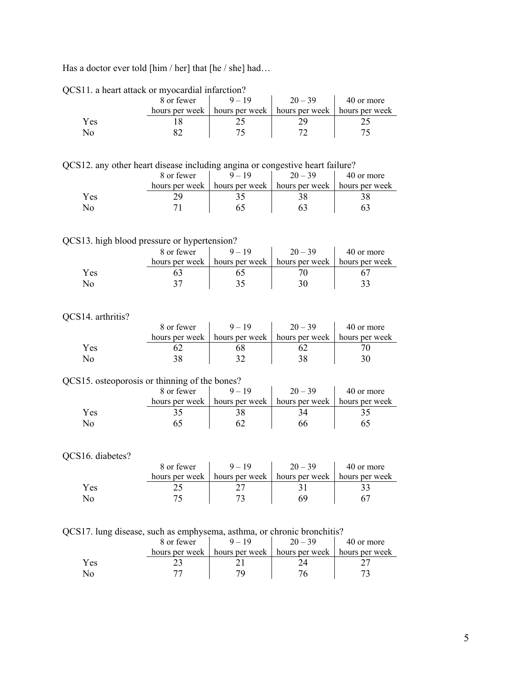Has a doctor ever told [him / her] that [he / she] had...

|     | 8 or fewer | $9 - 19$                                         | $20 - 39$ | 40 or more     |
|-----|------------|--------------------------------------------------|-----------|----------------|
|     |            | hours per week   hours per week   hours per week |           | hours per week |
| Yes |            |                                                  |           |                |
|     |            |                                                  |           |                |

#### QCS11. a heart attack or myocardial infarction?

QCS12. any other heart disease including angina or congestive heart failure?

|     | 8 or fewer     | $20 - 39$                                        | 40 or more |
|-----|----------------|--------------------------------------------------|------------|
|     | hours per week | hours per week   hours per week   hours per week |            |
| Yes |                |                                                  |            |
|     |                |                                                  |            |

#### QCS13. high blood pressure or hypertension?

|     | 8 or fewer     | $9 - 19$ | $20 - 39$                       | 40 or more     |
|-----|----------------|----------|---------------------------------|----------------|
|     | hours per week |          | hours per week   hours per week | hours per week |
| Yes |                |          |                                 |                |
|     |                |          |                                 |                |

# QCS14. arthritis?

| 14. arthritis <i>!</i> |                |                                 |           |                |
|------------------------|----------------|---------------------------------|-----------|----------------|
|                        | 8 or fewer     | $9 - 19$                        | $20 - 39$ | 40 or more     |
|                        | hours per week | hours per week   hours per week |           | hours per week |
| Yes                    |                |                                 |           |                |
| No                     |                |                                 |           |                |

#### QCS15. osteoporosis or thinning of the bones?

|     | 8 or fewer     | $9 - 19$ | $20 - 39$                                        | 40 or more |
|-----|----------------|----------|--------------------------------------------------|------------|
|     | hours per week |          | hours per week   hours per week   hours per week |            |
| Yes |                |          |                                                  |            |
| ง∩  |                |          |                                                  |            |

#### QCS16. diabetes?

|     | 8 or fewer     |                | $20 - 39$                       | 40 or more |
|-----|----------------|----------------|---------------------------------|------------|
|     | hours per week | hours per week | hours per week   hours per week |            |
| Yes |                |                |                                 |            |
|     |                |                |                                 |            |

QCS17. lung disease, such as emphysema, asthma, or chronic bronchitis?

|      | 8 or fewer     | $-19$          | $20 - 39$      | 40 or more     |
|------|----------------|----------------|----------------|----------------|
|      | hours per week | hours per week | hours per week | hours per week |
| Y es |                |                |                |                |
|      |                |                |                |                |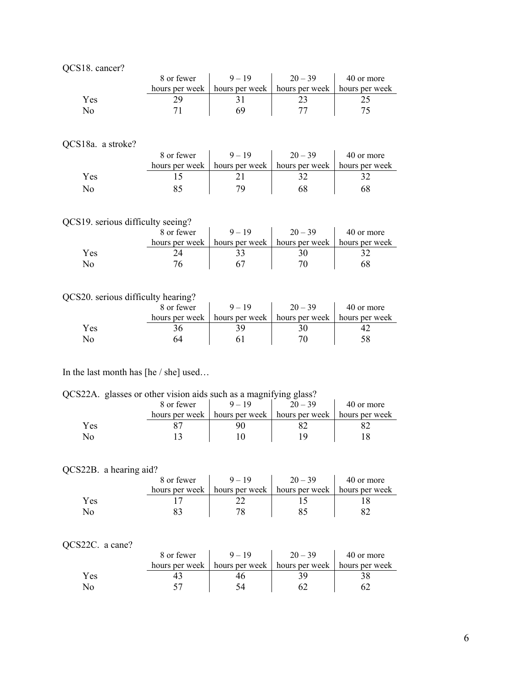| QCS18. cancer? |  |
|----------------|--|
|----------------|--|

|     | 8 or fewer     |                                                  | $20 - 39$ | 40 or more |
|-----|----------------|--------------------------------------------------|-----------|------------|
|     | hours per week | hours per week   hours per week   hours per week |           |            |
| Yes |                |                                                  |           |            |
|     |                |                                                  |           |            |

# QCS18a. a stroke?

| DIOA, a SUONG. |            |                                                                   |           |            |
|----------------|------------|-------------------------------------------------------------------|-----------|------------|
|                | 8 or fewer | $9 - 19$                                                          | $20 - 39$ | 40 or more |
|                |            | hours per week   hours per week   hours per week   hours per week |           |            |
| Yes            |            |                                                                   |           |            |
| √օ             |            |                                                                   |           |            |

# QCS19. serious difficulty seeing?

|     | 8 or fewer     |                | $20 - 39$      | 40 or more     |
|-----|----------------|----------------|----------------|----------------|
|     | hours per week | hours per week | hours per week | hours per week |
| Yes |                |                |                |                |
| ٩C  |                |                |                |                |

# QCS20. serious difficulty hearing?

|     | 8 or fewer     |                                                  | $20 - 39$ | 40 or more |
|-----|----------------|--------------------------------------------------|-----------|------------|
|     | hours per week | hours per week   hours per week   hours per week |           |            |
| Yes |                |                                                  |           |            |
|     |                |                                                  |           |            |

### In the last month has [he / she] used…

#### QCS22A. glasses or other vision aids such as a magnifying glass?

| .   | $\tilde{\phantom{a}}$ |                               |           |                |
|-----|-----------------------|-------------------------------|-----------|----------------|
|     | 8 or fewer            |                               | $20 - 39$ | 40 or more     |
|     | hours per week        | hours per week hours per week |           | hours per week |
| Yes |                       |                               |           |                |
| NO  |                       |                               |           |                |

#### QCS22B. a hearing aid?

|     | 8 or fewer     | $9 - 19$ | $20 - 39$                       | 40 or more     |
|-----|----------------|----------|---------------------------------|----------------|
|     | hours per week |          | hours per week   hours per week | hours per week |
| Yes |                |          |                                 |                |
| No. |                | 70       |                                 |                |

# QCS22C. a cane?

| $522C$ . a cane. |            |                                                                   |           |            |
|------------------|------------|-------------------------------------------------------------------|-----------|------------|
|                  | 8 or fewer | $9 - 19$                                                          | $20 - 39$ | 40 or more |
|                  |            | hours per week   hours per week   hours per week   hours per week |           |            |
| Yes              |            |                                                                   |           |            |
| N٥               |            |                                                                   |           |            |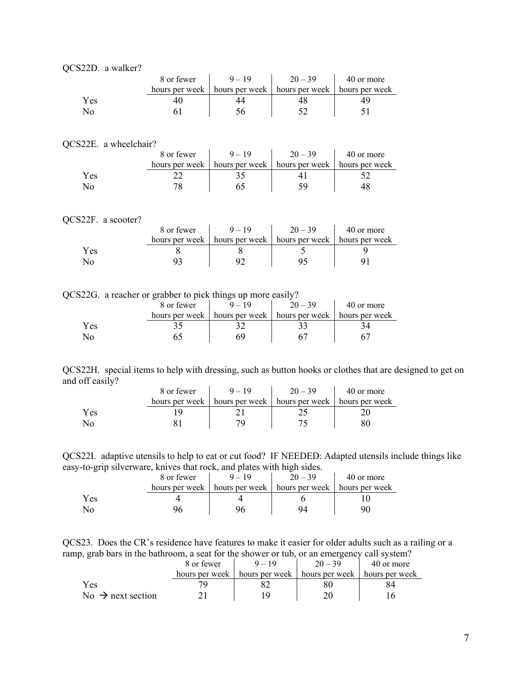| QCS22D. a walker? |
|-------------------|
|                   |

|     | 8 or fewer |                                                                   | $20 - 39$ | 40 or more |
|-----|------------|-------------------------------------------------------------------|-----------|------------|
|     |            | hours per week   hours per week   hours per week   hours per week |           |            |
| Yes |            |                                                                   |           |            |
|     |            |                                                                   |           |            |

#### QCS22E. a wheelchair?

| $J\omega\omega$ . $\alpha$ will continue the $J\omega$ |                |                                                  |           |            |
|--------------------------------------------------------|----------------|--------------------------------------------------|-----------|------------|
|                                                        | 8 or fewer     | $9 - 19$                                         | $20 - 39$ | 40 or more |
|                                                        | hours per week | hours per week   hours per week   hours per week |           |            |
| Yes                                                    |                |                                                  |           |            |
|                                                        |                |                                                  |           |            |

 $\overline{1}$ 

 $\ddot{\phantom{a}}$ 

#### QCS22F. a scooter?

|     | 8 or fewer     | $9 - 19$       | $20 - 39$      | 40 or more     |
|-----|----------------|----------------|----------------|----------------|
|     | hours per week | hours per week | hours per week | hours per week |
| Yes |                |                |                |                |
|     |                |                |                |                |

|  |  | QCS22G. a reacher or grabber to pick things up more easily? |
|--|--|-------------------------------------------------------------|
|  |  |                                                             |

|     | 8 or fewer     |                |                                 | 40 or more |
|-----|----------------|----------------|---------------------------------|------------|
|     | hours per week | hours per week | hours per week   hours per week |            |
| Yes |                |                |                                 |            |
|     |                |                |                                 |            |

QCS22H. special items to help with dressing, such as button hooks or clothes that are designed to get on and off easily?  $\mathbf{r}$  $\mathbf{r}$ 

|     | 8 or fewer     |                                                  | $20 - 39$ | 40 or more |
|-----|----------------|--------------------------------------------------|-----------|------------|
|     | hours per week | hours per week   hours per week   hours per week |           |            |
| Yes |                |                                                  |           |            |
|     |                |                                                  |           |            |

QCS22I. adaptive utensils to help to eat or cut food? IF NEEDED: Adapted utensils include things like easy-to-grip silverware, knives that rock, and plates with high sides.

|     | 8 or fewer | $9 - 19$                                                          | $20 - 39$ | 40 or more |
|-----|------------|-------------------------------------------------------------------|-----------|------------|
|     |            | hours per week   hours per week   hours per week   hours per week |           |            |
| Yes |            |                                                                   |           |            |
|     |            |                                                                   |           |            |

QCS23. Does the CR's residence have features to make it easier for older adults such as a railing or a ramp, grab bars in the bathroom, a seat for the shower or tub, or an emergency call system?

|                               | 8 or fewer     | $20 - 39$                                        | 40 or more |
|-------------------------------|----------------|--------------------------------------------------|------------|
|                               | hours per week | hours per week   hours per week   hours per week |            |
| <b>Yes</b>                    |                |                                                  |            |
| No $\rightarrow$ next section |                |                                                  |            |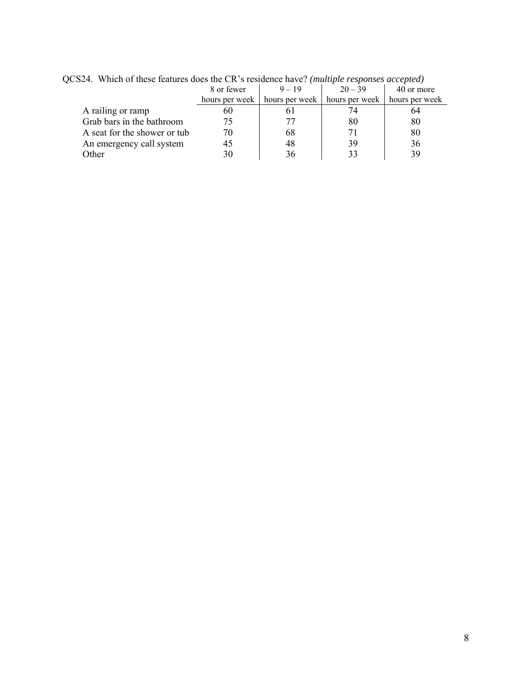| which of these features abos and one is restablice have. <i>Immight responses accepted</i> |                |          |                                                  |            |  |  |
|--------------------------------------------------------------------------------------------|----------------|----------|--------------------------------------------------|------------|--|--|
|                                                                                            | 8 or fewer     | $9 - 19$ | $20 - 39$                                        | 40 or more |  |  |
|                                                                                            | hours per week |          | hours per week   hours per week   hours per week |            |  |  |
| A railing or ramp                                                                          | 60             |          |                                                  | 64         |  |  |
| Grab bars in the bathroom                                                                  |                |          | 80                                               | 80         |  |  |
| A seat for the shower or tub                                                               | 70             | 68       |                                                  | 80         |  |  |
| An emergency call system                                                                   |                | 48       | 39                                               | 36         |  |  |
| Other                                                                                      |                | 36       | 33                                               | 39         |  |  |
|                                                                                            |                |          |                                                  |            |  |  |

QCS24. Which of these features does the CR's residence have? *(multiple responses accepted)*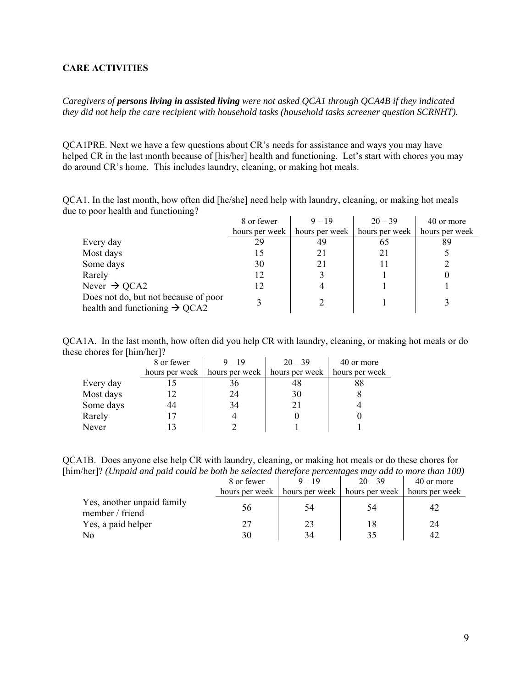### <span id="page-8-0"></span>**CARE ACTIVITIES**

*Caregivers of persons living in assisted living were not asked QCA1 through QCA4B if they indicated they did not help the care recipient with household tasks (household tasks screener question SCRNHT).* 

QCA1PRE. Next we have a few questions about CR's needs for assistance and ways you may have helped CR in the last month because of [his/her] health and functioning. Let's start with chores you may do around CR's home. This includes laundry, cleaning, or making hot meals.

QCA1. In the last month, how often did [he/she] need help with laundry, cleaning, or making hot meals due to poor health and functioning?

|                                                                                   | 8 or fewer     | $9 - 19$       | $20 - 39$      | 40 or more     |
|-----------------------------------------------------------------------------------|----------------|----------------|----------------|----------------|
|                                                                                   | hours per week | hours per week | hours per week | hours per week |
| Every day                                                                         | 29             | 49             | 65             | 89             |
| Most days                                                                         |                |                | 21             |                |
| Some days                                                                         | 30             |                |                |                |
| Rarely                                                                            | 12             |                |                |                |
| Never $\rightarrow$ QCA2                                                          | 12             |                |                |                |
| Does not do, but not because of poor<br>health and functioning $\rightarrow$ QCA2 |                |                |                |                |

QCA1A. In the last month, how often did you help CR with laundry, cleaning, or making hot meals or do these chores for [him/her]?

|           | 8 or fewer     | $9 - 19$       | $20 - 39$      | 40 or more     |
|-----------|----------------|----------------|----------------|----------------|
|           | hours per week | hours per week | hours per week | hours per week |
| Every day |                | 36             | 48             | 88             |
| Most days |                | 24             | 30             |                |
| Some days | 44             | 34             | 21             |                |
| Rarely    |                |                |                |                |
| Never     |                |                |                |                |

QCA1B. Does anyone else help CR with laundry, cleaning, or making hot meals or do these chores for [him/her]? *(Unpaid and paid could be both be selected therefore percentages may add to more than 100)* 

|                                               | 8 or fewer     | $9 - 19$                        | $20 - 39$ | 40 or more     |
|-----------------------------------------------|----------------|---------------------------------|-----------|----------------|
|                                               | hours per week | hours per week   hours per week |           | hours per week |
| Yes, another unpaid family<br>member / friend | 56             | 54                              | 54        |                |
| Yes, a paid helper                            | 27             | 23                              |           | 24             |
| No                                            | 30             | 34                              |           |                |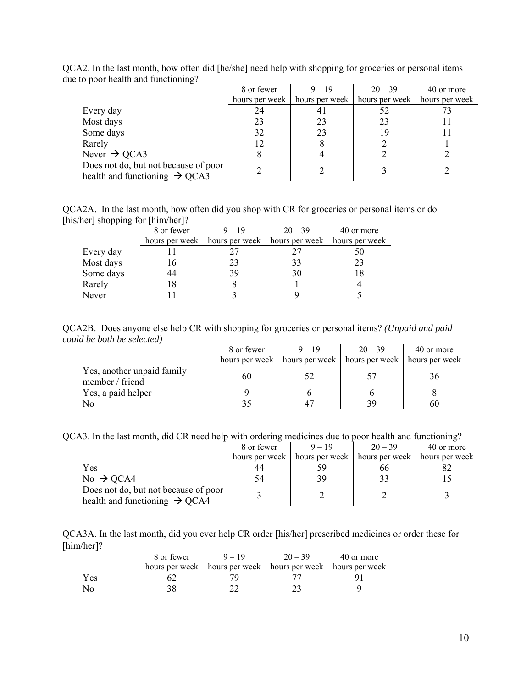|                                                                                   | 8 or fewer     | $9 - 19$       | $20 - 39$      | 40 or more     |
|-----------------------------------------------------------------------------------|----------------|----------------|----------------|----------------|
|                                                                                   | hours per week | hours per week | hours per week | hours per week |
| Every day                                                                         | 24             | 41             | 52             |                |
| Most days                                                                         | 23             | 23             | 23             |                |
| Some days                                                                         | 32             | 23             | 19             |                |
| Rarely                                                                            | 12             | 8              |                |                |
| Never $\rightarrow$ QCA3                                                          | 8              |                |                |                |
| Does not do, but not because of poor<br>health and functioning $\rightarrow$ QCA3 |                |                |                |                |

QCA2. In the last month, how often did [he/she] need help with shopping for groceries or personal items due to poor health and functioning?

QCA2A. In the last month, how often did you shop with CR for groceries or personal items or do [his/her] shopping for [him/her]?

|           | 8 or fewer     | $9 - 19$ | $20 - 39$                       | 40 or more     |
|-----------|----------------|----------|---------------------------------|----------------|
|           | hours per week |          | hours per week   hours per week | hours per week |
| Every day |                |          |                                 |                |
| Most days | 16             | 23       | 33                              | 23             |
| Some days | 44             | 39       | 30                              | 18             |
| Rarely    | 18             |          |                                 |                |
| Never     |                |          |                                 |                |

QCA2B. Does anyone else help CR with shopping for groceries or personal items? *(Unpaid and paid could be both be selected)* 

|                                               | 8 or fewer | $9 - 19$                                                          | $20 - 39$ | 40 or more |
|-----------------------------------------------|------------|-------------------------------------------------------------------|-----------|------------|
|                                               |            | hours per week   hours per week   hours per week   hours per week |           |            |
| Yes, another unpaid family<br>member / friend | 60         | 52                                                                | 57        | 36         |
| Yes, a paid helper                            |            |                                                                   |           |            |
| No                                            |            |                                                                   | 39        | 60         |

QCA3. In the last month, did CR need help with ordering medicines due to poor health and functioning?

|                                                                                   | 8 or fewer     | $9 - 19$       | $20 - 39$      | 40 or more     |
|-----------------------------------------------------------------------------------|----------------|----------------|----------------|----------------|
|                                                                                   | hours per week | hours per week | hours per week | hours per week |
| Yes                                                                               | 44             | 59             | 66             |                |
| No $\rightarrow$ QCA4                                                             | 54             | 39             |                |                |
| Does not do, but not because of poor<br>health and functioning $\rightarrow$ QCA4 |                |                |                |                |

QCA3A. In the last month, did you ever help CR order [his/her] prescribed medicines or order these for [him/her]?

|     | 8 or fewer     | $9 - 19$ | $20 - 39$                       | 40 or more     |
|-----|----------------|----------|---------------------------------|----------------|
|     | hours per week |          | hours per week   hours per week | hours per week |
| Yes |                |          |                                 |                |
| No  |                |          |                                 |                |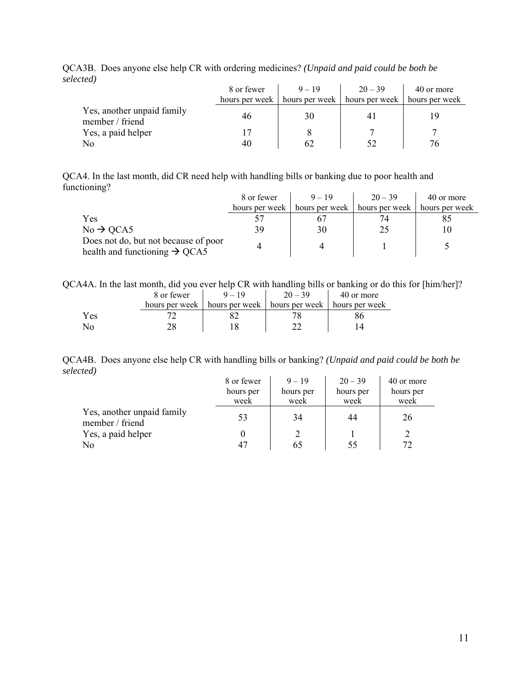|                                               | 8 or fewer     | $9 - 19$ | $20 - 39$                                        | 40 or more |
|-----------------------------------------------|----------------|----------|--------------------------------------------------|------------|
|                                               | hours per week |          | hours per week   hours per week   hours per week |            |
| Yes, another unpaid family<br>member / friend | 46             | 30       |                                                  |            |
| Yes, a paid helper                            |                |          |                                                  |            |
| No                                            | 40             | 62       | 52                                               | 76         |

QCA3B. Does anyone else help CR with ordering medicines? *(Unpaid and paid could be both be selected)*

QCA4. In the last month, did CR need help with handling bills or banking due to poor health and functioning?

|                                                                                   | 8 or fewer     | $9 - 19$       | $20 - 39$      | 40 or more     |
|-----------------------------------------------------------------------------------|----------------|----------------|----------------|----------------|
|                                                                                   | hours per week | hours per week | hours per week | hours per week |
| Yes                                                                               |                |                | 74             |                |
| $No \rightarrow QCA5$                                                             | 39             | 30             | 25             |                |
| Does not do, but not because of poor<br>health and functioning $\rightarrow$ QCA5 |                |                |                |                |

QCA4A. In the last month, did you ever help CR with handling bills or banking or do this for [him/her]?

|     | 8 or fewer     | $9 - 19$                        | $20 - 39$ | 40 or more     |
|-----|----------------|---------------------------------|-----------|----------------|
|     | hours per week | hours per week   hours per week |           | hours per week |
| Yes |                |                                 |           |                |
| No  |                |                                 |           |                |

QCA4B. Does anyone else help CR with handling bills or banking? *(Unpaid and paid could be both be selected)*

|                                               | 8 or fewer | $9 - 19$  | $20 - 39$ | 40 or more |
|-----------------------------------------------|------------|-----------|-----------|------------|
|                                               | hours per  | hours per | hours per | hours per  |
|                                               | week       | week      | week      | week       |
| Yes, another unpaid family<br>member / friend | 53         | 34        | 44        | 26         |
| Yes, a paid helper                            |            |           |           |            |
| N <sub>o</sub>                                |            | 65        | 55        | 72         |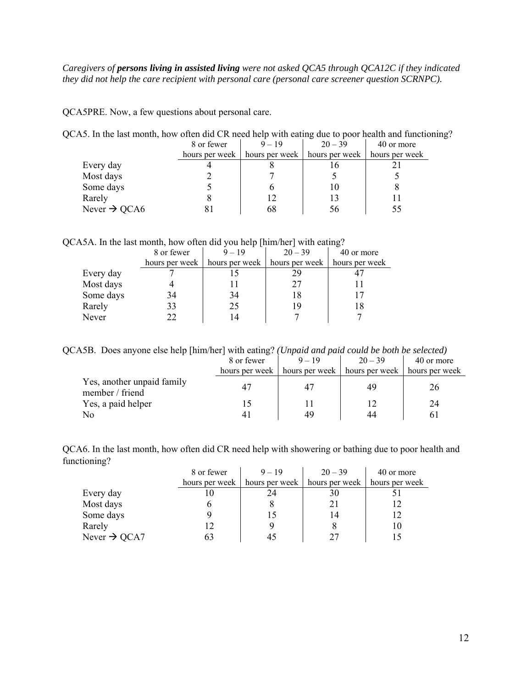### *Caregivers of persons living in assisted living were not asked QCA5 through QCA12C if they indicated they did not help the care recipient with personal care (personal care screener question SCRNPC).*

QCA5PRE. Now, a few questions about personal care.

QCA5. In the last month, how often did CR need help with eating due to poor health and functioning?

|                          | 8 or fewer | $9 - 19$                        | $20 - 39$                       | 40 or more |
|--------------------------|------------|---------------------------------|---------------------------------|------------|
|                          |            | hours per week   hours per week | hours per week   hours per week |            |
| Every day                |            |                                 |                                 |            |
| Most days                |            |                                 |                                 |            |
| Some days                |            |                                 | l ()                            |            |
| Rarely                   |            | 12                              |                                 |            |
| Never $\rightarrow$ QCA6 |            | ხŏ                              | 56                              |            |

QCA5A. In the last month, how often did you help [him/her] with eating?

|           | 8 or fewer     | $9 - 19$       | $20 - 39$      | 40 or more     |
|-----------|----------------|----------------|----------------|----------------|
|           | hours per week | hours per week | hours per week | hours per week |
| Every day |                |                | 29             |                |
| Most days |                |                | 27             |                |
| Some days | 34             | 34             | 18             |                |
| Rarely    | 33             | 25             | 19             |                |
| Never     | 22             |                |                |                |

QCA5B. Does anyone else help [him/her] with eating? *(Unpaid and paid could be both be selected)*

|                                               | 8 or fewer     | $9 - 19$                        | $20 - 39$ | 40 or more     |
|-----------------------------------------------|----------------|---------------------------------|-----------|----------------|
|                                               | hours per week | hours per week   hours per week |           | hours per week |
| Yes, another unpaid family<br>member / friend |                |                                 | 49        | 26             |
| Yes, a paid helper                            |                |                                 |           | 24             |
| No                                            |                | 49                              | 44        | 6 I            |

QCA6. In the last month, how often did CR need help with showering or bathing due to poor health and functioning?

|                          | 8 or fewer | $9 - 19$                        | $20 - 39$      | 40 or more     |
|--------------------------|------------|---------------------------------|----------------|----------------|
|                          |            | hours per week   hours per week | hours per week | hours per week |
| Every day                |            | 24                              | 30             |                |
| Most days                |            |                                 | 21             |                |
| Some days                |            |                                 | 14             |                |
| Rarely                   |            |                                 |                | 10             |
| Never $\rightarrow$ QCA7 |            |                                 | 27             |                |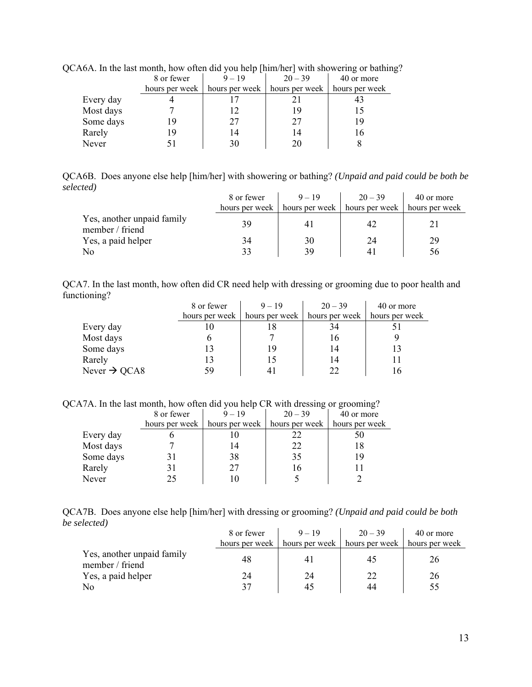|           | 8 or fewer     | $9 - 19$       | $20 - 39$      | 40 or more     |
|-----------|----------------|----------------|----------------|----------------|
|           | hours per week | hours per week | hours per week | hours per week |
| Every day |                |                |                |                |
| Most days |                |                | 19             |                |
| Some days |                | 27             | 27             | 19             |
| Rarely    |                | 14             | 14             | l 6            |
| Never     |                | 30             | 20             |                |

QCA6A. In the last month, how often did you help [him/her] with showering or bathing?

QCA6B. Does anyone else help [him/her] with showering or bathing? *(Unpaid and paid could be both be selected)*

|                                               | 8 or fewer | $9 - 19$                                         | $20 - 39$ | 40 or more     |
|-----------------------------------------------|------------|--------------------------------------------------|-----------|----------------|
|                                               |            | hours per week   hours per week   hours per week |           | hours per week |
| Yes, another unpaid family<br>member / friend | 39         |                                                  | 42        |                |
| Yes, a paid helper                            | 34         | 30                                               | 24        | 29             |
| N <sub>o</sub>                                | 33         | 39                                               | 41        | 56             |

QCA7. In the last month, how often did CR need help with dressing or grooming due to poor health and functioning?  $\mathbf{r}$  $\overline{1}$ 

|                          | 8 or fewer     | $9 - 19$       | $20 - 39$      | 40 or more     |
|--------------------------|----------------|----------------|----------------|----------------|
|                          | hours per week | hours per week | hours per week | hours per week |
| Every day                | l ()           |                | 34             |                |
| Most days                |                |                | 16             |                |
| Some days                |                | 19             | 14             | 13             |
| Rarely                   |                |                | 14             |                |
| Never $\rightarrow$ QCA8 | 59             |                | 22             | 16             |

QCA7A. In the last month, how often did you help CR with dressing or grooming?

|           | 8 or fewer     | $9 - 19$       | $20 - 39$      | 40 or more     |  |
|-----------|----------------|----------------|----------------|----------------|--|
|           | hours per week | hours per week | hours per week | hours per week |  |
| Every day |                |                | 22             | 50             |  |
| Most days |                | 14             | 22             | 18             |  |
| Some days |                | 38             | 35             | 19             |  |
| Rarely    |                | 27             | 16             |                |  |
| Never     |                |                |                |                |  |

|              | QCA7B. Does anyone else help [him/her] with dressing or grooming? (Unpaid and paid could be both |  |  |  |
|--------------|--------------------------------------------------------------------------------------------------|--|--|--|
| be selected) |                                                                                                  |  |  |  |

|                                               | 8 or fewer     | $9 - 19$ | $20 - 39$                                        | 40 or more |
|-----------------------------------------------|----------------|----------|--------------------------------------------------|------------|
|                                               | hours per week |          | hours per week   hours per week   hours per week |            |
| Yes, another unpaid family<br>member / friend | 48             |          | 42                                               | 26         |
| Yes, a paid helper                            | 24             | 24       | 22                                               | 26         |
| N <sub>0</sub>                                |                | 45       | 44                                               |            |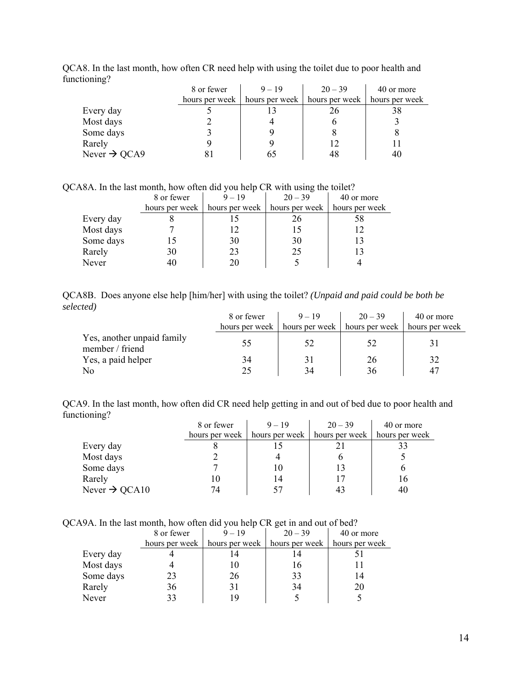| ັ                        | 8 or fewer | $9 - 19$                        | $20 - 39$      | 40 or more     |
|--------------------------|------------|---------------------------------|----------------|----------------|
|                          |            | hours per week   hours per week | hours per week | hours per week |
| Every day                |            |                                 | 26             | 38             |
| Most days                |            |                                 |                |                |
| Some days                |            |                                 |                |                |
| Rarely                   |            |                                 |                |                |
| Never $\rightarrow$ QCA9 | ×ι         | 65                              | 48             | 40             |

QCA8. In the last month, how often CR need help with using the toilet due to poor health and functioning?

QCA8A. In the last month, how often did you help CR with using the toilet?

|           | 8 or fewer | $9 - 19$ | $20 - 39$                                        | 40 or more     |
|-----------|------------|----------|--------------------------------------------------|----------------|
|           |            |          | hours per week   hours per week   hours per week | hours per week |
| Every day |            |          |                                                  | 58             |
| Most days |            | 12       |                                                  |                |
| Some days |            | 30       | 30                                               |                |
| Rarely    | 30         | 23       | 25                                               |                |
| Never     |            |          |                                                  |                |

|           | QCA8B. Does anyone else help [him/her] with using the toilet? (Unpaid and paid could be both be |  |  |  |
|-----------|-------------------------------------------------------------------------------------------------|--|--|--|
| selected) |                                                                                                 |  |  |  |

|                                               | 8 or fewer     | $9 - 19$ | $20 - 39$                                        | 40 or more |
|-----------------------------------------------|----------------|----------|--------------------------------------------------|------------|
|                                               | hours per week |          | hours per week   hours per week   hours per week |            |
| Yes, another unpaid family<br>member / friend | 55.            | 52       | 52                                               |            |
| Yes, a paid helper                            | 34             | 31       | 26                                               | 32         |
| N <sub>0</sub>                                | 25             | 34       | 36                                               | 47         |

QCA9. In the last month, how often did CR need help getting in and out of bed due to poor health and functioning?

|                           | 8 or fewer     | $9 - 19$ |                                 | 40 or more     |
|---------------------------|----------------|----------|---------------------------------|----------------|
|                           | hours per week |          | hours per week   hours per week | hours per week |
| Every day                 |                |          |                                 |                |
| Most days                 |                |          |                                 |                |
| Some days                 |                | 10       |                                 |                |
| Rarely                    | 10             | 14       |                                 | 16             |
| Never $\rightarrow$ QCA10 | 74             |          |                                 | 40             |

QCA9A. In the last month, how often did you help CR get in and out of bed?

|           | 8 or fewer     | $9 - 19$ | $20 - 39$                                     | 40 or more     |
|-----------|----------------|----------|-----------------------------------------------|----------------|
|           | hours per week |          | hours per week $\vert$ hours per week $\vert$ | hours per week |
| Every day |                |          |                                               |                |
| Most days |                |          | 16                                            |                |
| Some days | 23             | 26       | 33                                            | 14             |
| Rarely    | 36             |          | 34                                            | 20             |
| Never     | 33             |          |                                               |                |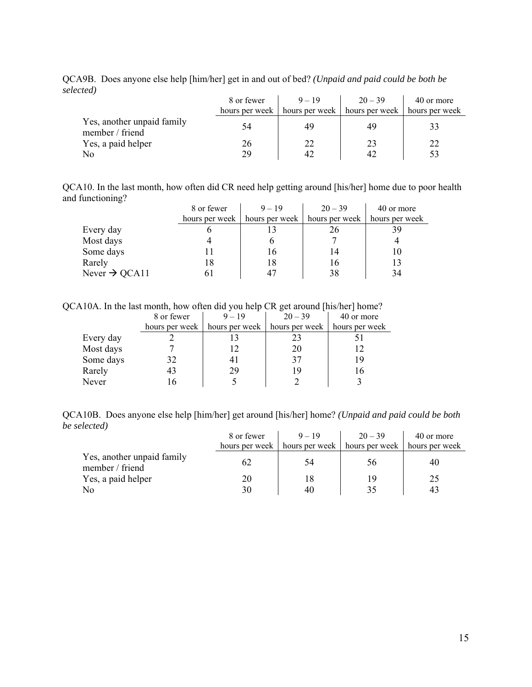QCA9B. Does anyone else help [him/her] get in and out of bed? *(Unpaid and paid could be both be selected)*

|                                               | 8 or fewer | $9 - 19$                                                          | $20 - 39$ | 40 or more |
|-----------------------------------------------|------------|-------------------------------------------------------------------|-----------|------------|
|                                               |            | hours per week   hours per week   hours per week   hours per week |           |            |
| Yes, another unpaid family<br>member / friend | 54         | 49                                                                | 49        |            |
| Yes, a paid helper                            | 26         | 22                                                                | 23        | 22         |
| N <sub>o</sub>                                | 29         |                                                                   | 47        |            |

QCA10. In the last month, how often did CR need help getting around [his/her] home due to poor health and functioning?

|                           | 8 or fewer     | $9 - 19$ | $20 - 39$                       | 40 or more     |
|---------------------------|----------------|----------|---------------------------------|----------------|
|                           | hours per week |          | hours per week   hours per week | hours per week |
| Every day                 |                |          | 26                              | 39             |
| Most days                 |                |          |                                 |                |
| Some days                 |                | 16.      | 14                              | 10             |
| Rarely                    | 18             | 18       | 16                              | 13             |
| Never $\rightarrow$ QCA11 |                |          | 38                              | 34             |

QCA10A. In the last month, how often did you help CR get around [his/her] home?

|           | 8 or fewer     | $9 - 19$       | $20 - 39$      | 40 or more     |
|-----------|----------------|----------------|----------------|----------------|
|           | hours per week | hours per week | hours per week | hours per week |
| Every day |                |                | 23             |                |
| Most days |                |                | 20             |                |
| Some days | 32             |                | 37             | 19             |
| Rarely    | 43             | 29             | 19             | 16             |
| Never     |                |                |                |                |

QCA10B. Does anyone else help [him/her] get around [his/her] home? *(Unpaid and paid could be both be selected)*

|                                               | 8 or fewer     | $9 - 19$ | $20 - 39$                                        | 40 or more |
|-----------------------------------------------|----------------|----------|--------------------------------------------------|------------|
|                                               | hours per week |          | hours per week   hours per week   hours per week |            |
| Yes, another unpaid family<br>member / friend | 62             | 54       | $56^{\circ}$                                     | 40         |
| Yes, a paid helper                            | 20             |          | 19                                               | 25         |
| N <sub>o</sub>                                | 30             | 40       | 35                                               |            |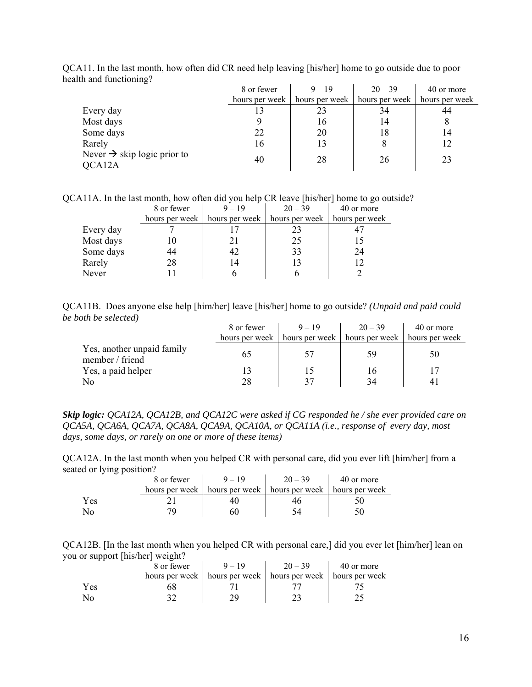| $\overline{\phantom{0}}$                          | 8 or fewer     | $9 - 19$       | $20 - 39$      | 40 or more     |
|---------------------------------------------------|----------------|----------------|----------------|----------------|
|                                                   | hours per week | hours per week | hours per week | hours per week |
| Every day                                         |                | 23             | 34             | 44             |
| Most days                                         |                | 16             | 14             |                |
| Some days                                         | 22             | 20             | 18             | 14             |
| Rarely                                            | 16             | 13             |                | 12             |
| Never $\rightarrow$ skip logic prior to<br>QCA12A | 40             | 28             | 26             | 23             |

QCA11. In the last month, how often did CR need help leaving [his/her] home to go outside due to poor health and functioning?

QCA11A. In the last month, how often did you help CR leave [his/her] home to go outside?

|           | 8 or fewer     | $9 - 19$       | $20 - 39$      | 40 or more     |
|-----------|----------------|----------------|----------------|----------------|
|           | hours per week | hours per week | hours per week | hours per week |
| Every day |                |                | 23             |                |
| Most days |                |                | 25             |                |
| Some days | 44             |                | 33             | 24             |
| Rarely    | 28             | 14             | 13             |                |
| Never     |                |                |                |                |

QCA11B. Does anyone else help [him/her] leave [his/her] home to go outside? *(Unpaid and paid could be both be selected)*

|                                               | 8 or fewer     | $9 - 19$                      | $20 - 39$ | 40 or more     |
|-----------------------------------------------|----------------|-------------------------------|-----------|----------------|
|                                               | hours per week | hours per week hours per week |           | hours per week |
| Yes, another unpaid family<br>member / friend | 65             | 57                            | 59        | 50             |
| Yes, a paid helper                            |                | 15                            | 16        |                |
| N <sub>0</sub>                                | 28             | 37                            | 34        |                |

*Skip logic: QCA12A, QCA12B, and QCA12C were asked if CG responded he / she ever provided care on QCA5A, QCA6A, QCA7A, QCA8A, QCA9A, QCA10A, or QCA11A (i.e., response of every day, most days, some days, or rarely on one or more of these items)* 

QCA12A. In the last month when you helped CR with personal care, did you ever lift [him/her] from a seated or lying position?  $\mathcal{L}^{\text{max}}$ i.

|     | 8 or fewer | $-19$                                                             | $20 - 39$ | 40 or more |
|-----|------------|-------------------------------------------------------------------|-----------|------------|
|     |            | hours per week   hours per week   hours per week   hours per week |           |            |
| Yes |            |                                                                   |           |            |
|     |            |                                                                   |           |            |

QCA12B. [In the last month when you helped CR with personal care,] did you ever let [him/her] lean on you or support [his/her] weight?

|     | 8 or fewer     | $9 - 19$                                         | $20 - 39$ | 40 or more |
|-----|----------------|--------------------------------------------------|-----------|------------|
|     | hours per week | hours per week   hours per week   hours per week |           |            |
| Yes |                |                                                  |           |            |
|     |                |                                                  |           |            |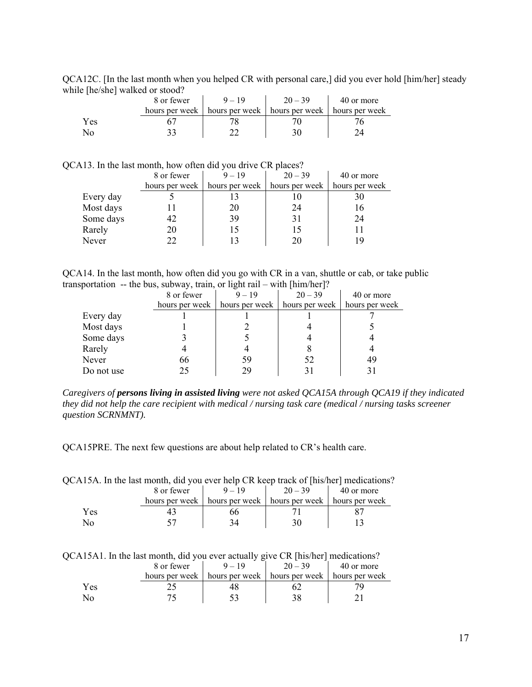QCA12C. [In the last month when you helped CR with personal care,] did you ever hold [him/her] steady while [he/she] walked or stood?

|     | 8 or fewer | $9 - 19$                                                          | $20 - 39$ | 40 or more |
|-----|------------|-------------------------------------------------------------------|-----------|------------|
|     |            | hours per week   hours per week   hours per week   hours per week |           |            |
| Yes |            |                                                                   |           |            |
| No  |            |                                                                   |           |            |

QCA13. In the last month, how often did you drive CR places?

|           | 8 or fewer     | $9 - 19$       | $20 - 39$      | 40 or more     |
|-----------|----------------|----------------|----------------|----------------|
|           | hours per week | hours per week | hours per week | hours per week |
| Every day |                |                |                |                |
| Most days |                | 20             | 24             | 16             |
| Some days | 42             | 39             | 31             | 24             |
| Rarely    | 20             |                | 15             |                |
| Never     | フフ             |                | 20             |                |

QCA14. In the last month, how often did you go with CR in a van, shuttle or cab, or take public transportation -- the bus, subway, train, or light rail – with [him/her]?

|            | 8 or fewer     | $9 - 19$       | $20 - 39$      | 40 or more     |
|------------|----------------|----------------|----------------|----------------|
|            | hours per week | hours per week | hours per week | hours per week |
| Every day  |                |                |                |                |
| Most days  |                |                |                |                |
| Some days  |                |                |                |                |
| Rarely     |                |                |                |                |
| Never      | 66             | 59             | 52             | 49             |
| Do not use | 25             | 29             |                |                |

*Caregivers of persons living in assisted living were not asked QCA15A through QCA19 if they indicated they did not help the care recipient with medical / nursing task care (medical / nursing tasks screener question SCRNMNT).* 

QCA15PRE. The next few questions are about help related to CR's health care.

| QCA15A. In the last month, did you ever help CR keep track of [his/her] medications? |  |  |  |
|--------------------------------------------------------------------------------------|--|--|--|
|--------------------------------------------------------------------------------------|--|--|--|

|     | 8 or fewer | $= 19$                                           | $20 - 39$ | 40 or more     |
|-----|------------|--------------------------------------------------|-----------|----------------|
|     |            | hours per week   hours per week   hours per week |           | hours per week |
| Yes |            | эc                                               |           |                |
| N۵  |            |                                                  |           |                |

QCA15A1. In the last month, did you ever actually give CR [his/her] medications?

|      | 8 or fewer     | -              | $20 - 39$      | 40 or more     |
|------|----------------|----------------|----------------|----------------|
|      | hours per week | hours per week | hours per week | hours per week |
| í es |                |                |                |                |
|      |                |                |                |                |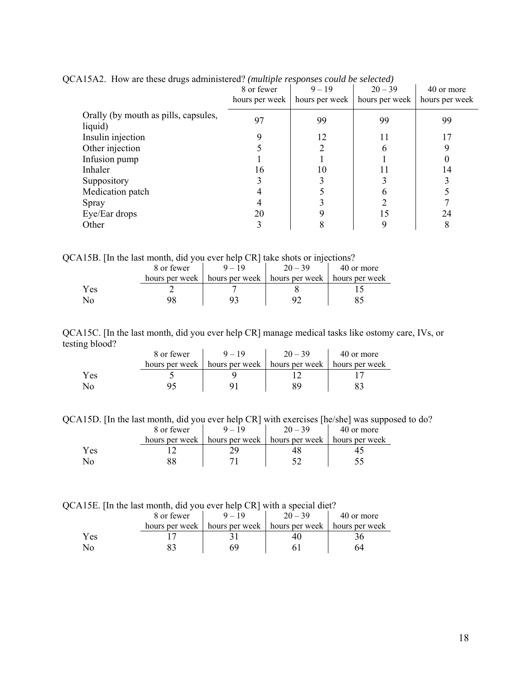|                                                 | 8 or fewer<br>hours per week | $9 - 19$<br>hours per week | $20 - 39$<br>hours per week | 40 or more<br>hours per week |
|-------------------------------------------------|------------------------------|----------------------------|-----------------------------|------------------------------|
| Orally (by mouth as pills, capsules,<br>liquid) | 97                           | 99                         | 99                          | 99                           |
| Insulin injection                               |                              | 12                         | 11                          |                              |
| Other injection                                 |                              |                            |                             |                              |
| Infusion pump                                   |                              |                            |                             |                              |
| Inhaler                                         | 16                           | 10                         |                             | 14                           |
| Suppository                                     |                              |                            |                             |                              |
| Medication patch                                |                              |                            |                             |                              |
| Spray                                           |                              |                            |                             |                              |
| Eye/Ear drops                                   | 20                           |                            | 15                          | 24                           |
| Other                                           | 3                            |                            |                             | 8                            |

QCA15A2. How are these drugs administered? *(multiple responses could be selected)* 

QCA15B. [In the last month, did you ever help CR] take shots or injections?

|      | 8 or fewer     | $20 - 39$                       | 40 or more     |
|------|----------------|---------------------------------|----------------|
|      | hours per week | hours per week   hours per week | hours per week |
| Y es |                |                                 |                |
|      |                |                                 |                |

QCA15C. [In the last month, did you ever help CR] manage medical tasks like ostomy care, IVs, or testing blood?

| -   | 8 or fewer     | $-19$ | $20 - 39$                                        | 40 or more |
|-----|----------------|-------|--------------------------------------------------|------------|
|     | hours per week |       | hours per week   hours per week   hours per week |            |
| Yes |                |       |                                                  |            |
| No  |                |       |                                                  |            |

QCA15D. [In the last month, did you ever help CR] with exercises [he/she] was supposed to do?

|      | 8 or fewer     |                | $20 - 39$      | 40 or more     |
|------|----------------|----------------|----------------|----------------|
|      | hours per week | hours per week | hours per week | hours per week |
| Y es |                |                |                |                |
|      |                |                |                |                |

QCA15E. [In the last month, did you ever help CR] with a special diet?

|             | 8 or fewer     | $9 - 19$ | $20 - 39$                                        | 40 or more |
|-------------|----------------|----------|--------------------------------------------------|------------|
|             | hours per week |          | hours per week   hours per week   hours per week |            |
| <i>l</i> es |                |          | 4١.                                              |            |
|             |                |          |                                                  | 64         |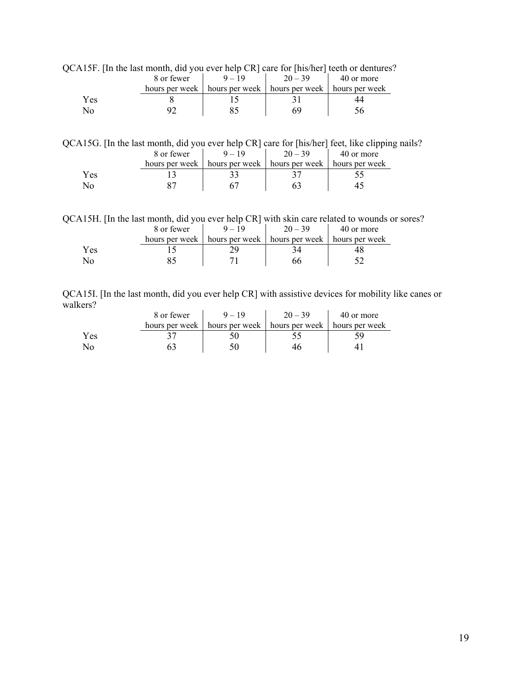|     |            |                                                                   |           | $13r$ . The the fast month, and you ever neip $CR$ care for fins/her fleem or defitures |
|-----|------------|-------------------------------------------------------------------|-----------|-----------------------------------------------------------------------------------------|
|     | 8 or fewer | $9 - 19$                                                          | $20 - 39$ | 40 or more                                                                              |
|     |            | hours per week   hours per week   hours per week   hours per week |           |                                                                                         |
| Yes |            |                                                                   |           | 44                                                                                      |
| No  |            |                                                                   | 69        | ነ6                                                                                      |

QCA15F. [In the last month, did you ever help CR] care for [his/her] teeth or dentures?

QCA15G. [In the last month, did you ever help CR] care for [his/her] feet, like clipping nails?

|     | 8 or fewer     | $20 - 39$                       | 40 or more     |
|-----|----------------|---------------------------------|----------------|
|     | hours per week | hours per week   hours per week | hours per week |
| Yes |                |                                 |                |
|     |                |                                 |                |

QCA15H. [In the last month, did you ever help CR] with skin care related to wounds or sores?

|      | 8 or fewer |                                                                   | $20 - 39$ | 40 or more |
|------|------------|-------------------------------------------------------------------|-----------|------------|
|      |            | hours per week   hours per week   hours per week   hours per week |           |            |
| r es |            |                                                                   |           |            |
|      |            |                                                                   |           |            |

QCA15I. [In the last month, did you ever help CR] with assistive devices for mobility like canes or walkers?

|     | 8 or fewer     | $20 - 39$                                        | 40 or more |
|-----|----------------|--------------------------------------------------|------------|
|     | hours per week | hours per week   hours per week   hours per week |            |
| Yes |                |                                                  |            |
|     |                |                                                  |            |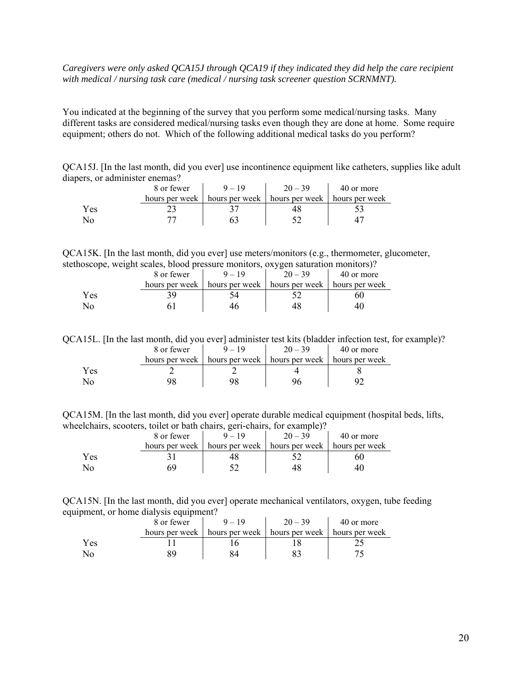### *Caregivers were only asked QCA15J through QCA19 if they indicated they did help the care recipient with medical / nursing task care (medical / nursing task screener question SCRNMNT).*

You indicated at the beginning of the survey that you perform some medical/nursing tasks. Many different tasks are considered medical/nursing tasks even though they are done at home. Some require equipment; others do not. Which of the following additional medical tasks do you perform?

QCA15J. [In the last month, did you ever] use incontinence equipment like catheters, supplies like adult diapers, or administer enemas?

|     | 8 or fewer     | $9 - 19$       | $20 - 39$                       | 40 or more |
|-----|----------------|----------------|---------------------------------|------------|
|     | hours per week | hours per week | hours per week   hours per week |            |
| Yes |                |                |                                 |            |
|     |                |                |                                 |            |

QCA15K. [In the last month, did you ever] use meters/monitors (e.g., thermometer, glucometer, stethoscope, weight scales, blood pressure monitors, oxygen saturation monitors)?

|     | 8 or fewer     | $9 - 19$                                         | $20 - 39$ | 40 or more |
|-----|----------------|--------------------------------------------------|-----------|------------|
|     | hours per week | hours per week   hours per week   hours per week |           |            |
| Yes |                |                                                  |           |            |
| No  |                |                                                  |           |            |

QCA15L. [In the last month, did you ever] administer test kits (bladder infection test, for example)?

|     | 8 or fewer | $9 - 19$                                                          | $20 - 39$ | 40 or more |
|-----|------------|-------------------------------------------------------------------|-----------|------------|
|     |            | hours per week   hours per week   hours per week   hours per week |           |            |
| Yes |            |                                                                   |           |            |
|     |            |                                                                   |           |            |

QCA15M. [In the last month, did you ever] operate durable medical equipment (hospital beds, lifts, wheelchairs, scooters, toilet or bath chairs, geri-chairs, for example)?

|     | 8 or fewer     | $20 - 39$                       | 40 or more     |
|-----|----------------|---------------------------------|----------------|
|     | hours per week | hours per week   hours per week | hours per week |
| Yes |                |                                 |                |
|     |                |                                 |                |

QCA15N. [In the last month, did you ever] operate mechanical ventilators, oxygen, tube feeding equipment, or home dialysis equipment?

|     | 8 or fewer     | $9 - 19$       | $20 - 39$      | 40 or more     |
|-----|----------------|----------------|----------------|----------------|
|     | hours per week | hours per week | hours per week | hours per week |
| Yes |                |                |                |                |
|     |                |                |                |                |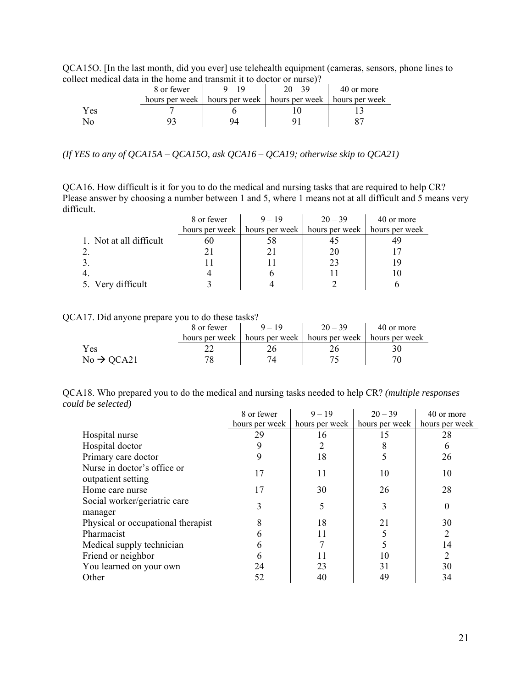QCA15O. [In the last month, did you ever] use telehealth equipment (cameras, sensors, phone lines to collect medical data in the home and transmit it to doctor or nurse)?

|     | 8 or fewer | $9 - 19$                                                          | $20 - 39$ | 40 or more |
|-----|------------|-------------------------------------------------------------------|-----------|------------|
|     |            | hours per week   hours per week   hours per week   hours per week |           |            |
| Yes |            |                                                                   |           |            |
|     |            |                                                                   |           |            |

*(If YES to any of QCA15A – QCA15O, ask QCA16 – QCA19; otherwise skip to QCA21)* 

QCA16. How difficult is it for you to do the medical and nursing tasks that are required to help CR? Please answer by choosing a number between 1 and 5, where 1 means not at all difficult and 5 means very difficult.  $\bar{1}$  $\mathbf{r}$  $\mathcal{L}$ 

|                         | 8 or fewer     | $9 - 19$       | $20 - 39$      | 40 or more     |
|-------------------------|----------------|----------------|----------------|----------------|
|                         | hours per week | hours per week | hours per week | hours per week |
| 1. Not at all difficult | 6U             |                |                |                |
|                         |                |                |                |                |
|                         |                |                | 23             |                |
|                         |                |                |                |                |
| 5. Very difficult       |                |                |                |                |

#### QCA17. Did anyone prepare you to do these tasks?

|                        | 8 or fewer | $9 - 19$                                                          | $20 - 39$ | 40 or more |
|------------------------|------------|-------------------------------------------------------------------|-----------|------------|
|                        |            | hours per week   hours per week   hours per week   hours per week |           |            |
| Yes                    |            |                                                                   |           |            |
| $No \rightarrow QCA21$ |            |                                                                   |           |            |

QCA18. Who prepared you to do the medical and nursing tasks needed to help CR? *(multiple responses could be selected)*  j.  $\mathcal{L}$ 

|                                                   | 8 or fewer     | $9 - 19$       | $20 - 39$      | 40 or more     |
|---------------------------------------------------|----------------|----------------|----------------|----------------|
|                                                   | hours per week | hours per week | hours per week | hours per week |
| Hospital nurse                                    | 29             | 16             | 15             | 28             |
| Hospital doctor                                   |                |                | 8              | 6              |
| Primary care doctor                               | 9              | 18             |                | 26             |
| Nurse in doctor's office or<br>outpatient setting | 17             | 11             | 10             | 10             |
| Home care nurse                                   | 17             | 30             | 26             | 28             |
| Social worker/geriatric care<br>manager           | 3              | 5              | 3              | 0              |
| Physical or occupational therapist                | 8              | 18             | 21             | 30             |
| Pharmacist                                        | 6              | 11             |                | 2              |
| Medical supply technician                         | 6              |                |                | 14             |
| Friend or neighbor                                | 6              | 11             | 10             | 2              |
| You learned on your own                           | 24             | 23             | 31             | 30             |
| Other                                             | 52             | 40             | 49             | 34             |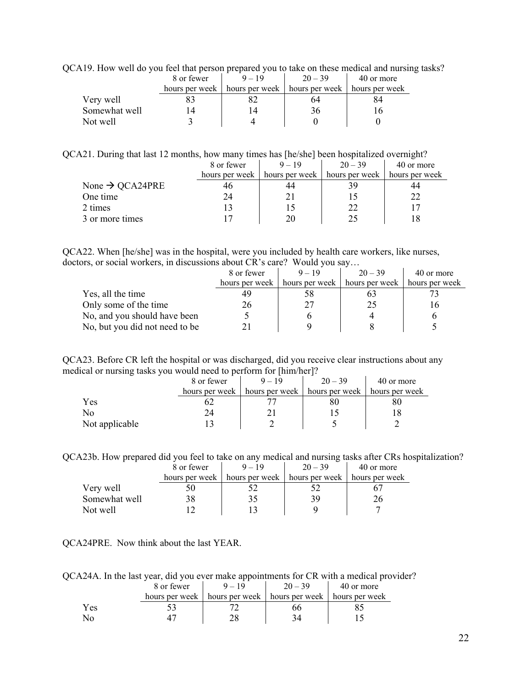| A POLATI TION WEIL GO YOU ICCI IIIAI PETSOII PICPATCU YOU IO IANC OII IIICSC IIICUICAI AIIU IIIIISIIIg |            |                                                                   |           |            |  |
|--------------------------------------------------------------------------------------------------------|------------|-------------------------------------------------------------------|-----------|------------|--|
|                                                                                                        | 8 or fewer | $9 - 19$                                                          | $20 - 39$ | 40 or more |  |
|                                                                                                        |            | hours per week   hours per week   hours per week   hours per week |           |            |  |
| Very well                                                                                              |            |                                                                   | 64        |            |  |
| Somewhat well                                                                                          |            |                                                                   | 36        |            |  |
| Not well                                                                                               |            |                                                                   |           |            |  |

QCA19. How well do you feel that person prepared you to take on these medical and nursing tasks?

QCA21. During that last 12 months, how many times has [he/she] been hospitalized overnight?

|                             | 8 or fewer     | $9 - 19$       | $20 - 39$      | 40 or more     |
|-----------------------------|----------------|----------------|----------------|----------------|
|                             | hours per week | hours per week | hours per week | hours per week |
| None $\rightarrow$ QCA24PRE | 40             | 44             |                | 44             |
| One time                    | 24             |                |                | 22             |
| 2 times                     |                |                |                |                |
| 3 or more times             |                | 20             | 25             |                |

QCA22. When [he/she] was in the hospital, were you included by health care workers, like nurses, doctors, or social workers, in discussions about CR's care? Would you say…

|                                | 8 or fewer     | $9 - 19$                        | $20 - 39$ | 40 or more     |
|--------------------------------|----------------|---------------------------------|-----------|----------------|
|                                | hours per week | hours per week   hours per week |           | hours per week |
| Yes, all the time              | 49             | 58                              |           |                |
| Only some of the time          | 26             |                                 | 25        |                |
| No, and you should have been   |                |                                 |           |                |
| No, but you did not need to be |                |                                 |           |                |

QCA23. Before CR left the hospital or was discharged, did you receive clear instructions about any medical or nursing tasks you would need to perform for [him/her]?

|                | 8 or fewer     | $9 - 19$       | $20 - 39$      | 40 or more     |
|----------------|----------------|----------------|----------------|----------------|
|                | hours per week | hours per week | hours per week | hours per week |
| Yes            |                |                | δU             | 8U             |
| No             |                |                |                |                |
| Not applicable |                |                |                |                |

QCA23b. How prepared did you feel to take on any medical and nursing tasks after CRs hospitalization?

|               | 8 or fewer     | $9 - 19$ | $20 - 39$                                        | 40 or more |
|---------------|----------------|----------|--------------------------------------------------|------------|
|               | hours per week |          | hours per week   hours per week   hours per week |            |
| Very well     |                |          |                                                  |            |
| Somewhat well |                |          | 39                                               |            |
| Not well      |                |          |                                                  |            |

QCA24PRE. Now think about the last YEAR.

QCA24A. In the last year, did you ever make appointments for CR with a medical provider?

|     | 8 or fewer     | $20 - 39$                       | 40 or more     |
|-----|----------------|---------------------------------|----------------|
|     | hours per week | hours per week   hours per week | hours per week |
| Yes |                |                                 |                |
| Nο  |                |                                 |                |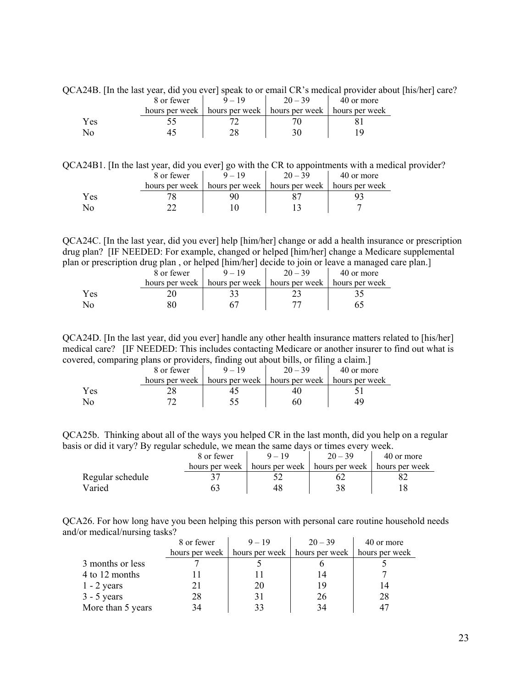|     | 8 or fewer     | $9 - 19$       | $20 - 39$                       | 40 or more |
|-----|----------------|----------------|---------------------------------|------------|
|     | hours per week | hours per week | hours per week   hours per week |            |
| Yes |                |                |                                 |            |
|     |                |                |                                 |            |

QCA24B. [In the last year, did you ever] speak to or email CR's medical provider about [his/her] care?

QCA24B1. [In the last year, did you ever] go with the CR to appointments with a medical provider?

|     | 8 or fewer |                                                                   | $20 - 39$ | 40 or more |
|-----|------------|-------------------------------------------------------------------|-----------|------------|
|     |            | hours per week   hours per week   hours per week   hours per week |           |            |
| Yes |            |                                                                   |           |            |
|     |            |                                                                   |           |            |

QCA24C. [In the last year, did you ever] help [him/her] change or add a health insurance or prescription drug plan? [IF NEEDED: For example, changed or helped [him/her] change a Medicare supplemental plan or prescription drug plan , or helped [him/her] decide to join or leave a managed care plan.]

|     | 8 or fewer     | - | $20 - 39$                                        | 40 or more |
|-----|----------------|---|--------------------------------------------------|------------|
|     | hours per week |   | hours per week   hours per week   hours per week |            |
| Yes |                |   |                                                  |            |
| Ν٥  |                |   |                                                  |            |

QCA24D. [In the last year, did you ever] handle any other health insurance matters related to [his/her] medical care? [IF NEEDED: This includes contacting Medicare or another insurer to find out what is covered, comparing plans or providers, finding out about bills, or filing a claim.]

|     | . .<br>8 or fewer |                                                  | $20 - 39$ | 40 or more |
|-----|-------------------|--------------------------------------------------|-----------|------------|
|     | hours per week    | hours per week   hours per week   hours per week |           |            |
| Yes |                   |                                                  |           |            |
|     |                   |                                                  |           |            |

QCA25b. Thinking about all of the ways you helped CR in the last month, did you help on a regular basis or did it vary? By regular schedule, we mean the same days or times every week.

|                  | 8 or fewer     | $9 - 19$ | $20 - 39$                                        | 40 or more |
|------------------|----------------|----------|--------------------------------------------------|------------|
|                  | hours per week |          | hours per week   hours per week   hours per week |            |
| Regular schedule |                |          |                                                  |            |
| Varied           |                |          |                                                  |            |

QCA26. For how long have you been helping this person with personal care routine household needs and/or medical/nursing tasks?

|                   | 8 or fewer | $9 - 19$                        | $20 - 39$      | 40 or more     |
|-------------------|------------|---------------------------------|----------------|----------------|
|                   |            | hours per week   hours per week | hours per week | hours per week |
| 3 months or less  |            |                                 |                |                |
| 4 to 12 months    |            |                                 |                |                |
| $1 - 2$ years     |            | 20                              | 19             |                |
| $3 - 5$ years     | 28         | 31                              | 26             | 28             |
| More than 5 years | 34         |                                 |                | 47             |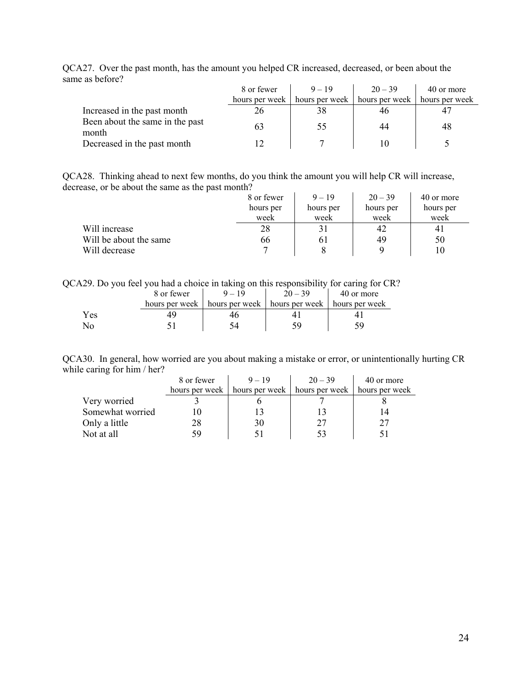|                                          | 8 or fewer     | $9 - 19$       | $20 - 39$      | 40 or more     |
|------------------------------------------|----------------|----------------|----------------|----------------|
|                                          | hours per week | hours per week | hours per week | hours per week |
| Increased in the past month              | 26             | 38             | 46             |                |
| Been about the same in the past<br>month | 63             | 55             | 44             | 48             |
| Decreased in the past month              |                |                | 10             |                |

QCA27. Over the past month, has the amount you helped CR increased, decreased, or been about the same as before?

QCA28. Thinking ahead to next few months, do you think the amount you will help CR will increase, decrease, or be about the same as the past month?

|                        | 8 or fewer | $9 - 19$  | $20 - 39$ | 40 or more     |
|------------------------|------------|-----------|-----------|----------------|
|                        | hours per  | hours per | hours per | hours per      |
|                        | week       | week      | week      | week           |
| Will increase          | 28         | 31        | 42        | 4 <sub>1</sub> |
| Will be about the same | 66         | 61        | 49        | 50             |
| Will decrease          |            |           |           |                |

QCA29. Do you feel you had a choice in taking on this responsibility for caring for CR?

|     | 8 or fewer | $-19$                                                             | $20 - 39$ | 40 or more |
|-----|------------|-------------------------------------------------------------------|-----------|------------|
|     |            | hours per week   hours per week   hours per week   hours per week |           |            |
| Yes |            |                                                                   |           |            |
| No  |            |                                                                   |           |            |

QCA30. In general, how worried are you about making a mistake or error, or unintentionally hurting CR while caring for him / her?

|                  | 8 or fewer     | $9 - 19$       | $20 - 39$      | 40 or more     |  |
|------------------|----------------|----------------|----------------|----------------|--|
|                  | hours per week | hours per week | hours per week | hours per week |  |
| Very worried     |                |                |                |                |  |
| Somewhat worried |                |                |                |                |  |
| Only a little    | 28             | 30             |                |                |  |
| Not at all       | 59             |                |                |                |  |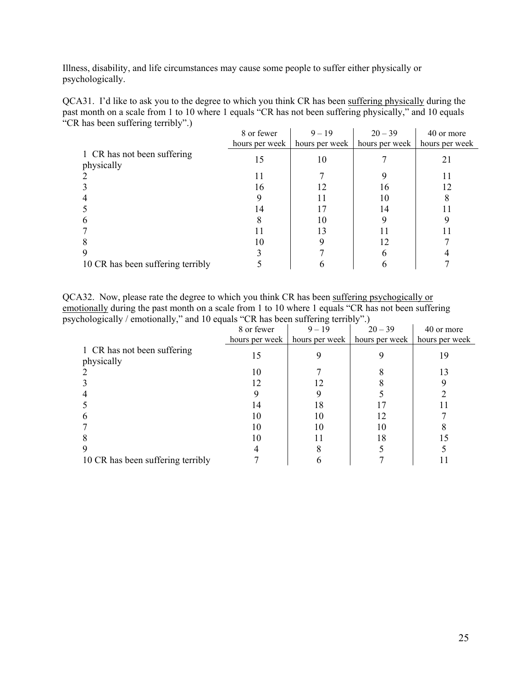Illness, disability, and life circumstances may cause some people to suffer either physically or psychologically.

| QCA31. I'd like to ask you to the degree to which you think CR has been suffering physically during the |  |  |                                |  |  |
|---------------------------------------------------------------------------------------------------------|--|--|--------------------------------|--|--|
| past month on a scale from 1 to 10 where 1 equals "CR has not been suffering physically," and 10 equals |  |  |                                |  |  |
| "CR has been suffering terribly".)                                                                      |  |  | <u>io de la característica</u> |  |  |
|                                                                                                         |  |  |                                |  |  |

|                                           | 8 or fewer     | $9 - 19$       | $20 - 39$      | 40 or more     |
|-------------------------------------------|----------------|----------------|----------------|----------------|
|                                           | hours per week | hours per week | hours per week | hours per week |
| 1 CR has not been suffering<br>physically | 15             | 10             |                |                |
|                                           |                |                |                |                |
|                                           | 16             |                | 16             | 12             |
|                                           |                |                | 10             |                |
|                                           | 14             |                | 14             |                |
|                                           |                | 10             |                |                |
|                                           |                | 13             |                |                |
|                                           | 10             |                | 12             |                |
|                                           |                |                |                |                |
| 10 CR has been suffering terribly         |                |                |                |                |

QCA32. Now, please rate the degree to which you think CR has been suffering psychogically or emotionally during the past month on a scale from 1 to 10 where 1 equals "CR has not been suffering psychologically / emotionally," and 10 equals "CR has been suffering terribly".)

|                                           | 8 or fewer     | $9 - 19$       | $20 - 39$      | 40 or more     |
|-------------------------------------------|----------------|----------------|----------------|----------------|
|                                           | hours per week | hours per week | hours per week | hours per week |
| 1 CR has not been suffering<br>physically | 15             |                |                | 19             |
|                                           | 10             |                |                |                |
|                                           | 12             |                |                |                |
|                                           |                |                |                |                |
|                                           | 14             | 18             |                |                |
|                                           |                |                |                |                |
|                                           |                | 10             |                |                |
|                                           | 10             |                | 18             |                |
|                                           |                |                |                |                |
| 10 CR has been suffering terribly         |                |                |                |                |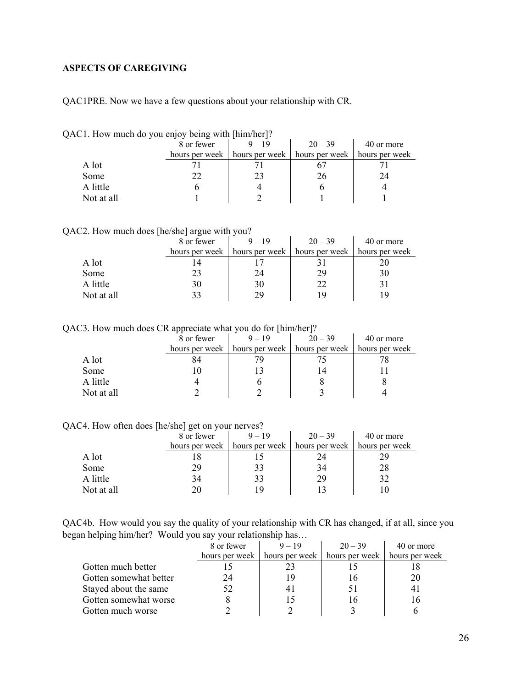## <span id="page-25-0"></span>**ASPECTS OF CAREGIVING**

QAC1PRE. Now we have a few questions about your relationship with CR.

| $AC1.$ How thuch do you enjoy being with $\liminf_{k \to \infty}$ |            |                                                  |           |                |
|-------------------------------------------------------------------|------------|--------------------------------------------------|-----------|----------------|
|                                                                   | 8 or fewer | $9 - 19$                                         | $20 - 39$ | 40 or more     |
|                                                                   |            | hours per week   hours per week   hours per week |           | hours per week |
| A lot                                                             |            |                                                  |           |                |
| Some                                                              |            | 23                                               | 26        | 24             |
| A little                                                          |            |                                                  |           |                |
| Not at all                                                        |            |                                                  |           |                |

QAC1. How much do you enjoy being with [him/her]?

| QAC2. How much does [he/she] argue with you? |  |  |
|----------------------------------------------|--|--|
|----------------------------------------------|--|--|

|            | 8 or fewer     | $9 - 19$       | $20 - 39$      | 40 or more     |
|------------|----------------|----------------|----------------|----------------|
|            | hours per week | hours per week | hours per week | hours per week |
| A lot      |                |                |                |                |
| Some       | 23             | 24             | 29             | 30             |
| A little   | 30             | 30             |                |                |
| Not at all |                | ΟQ             | 1 Q            |                |

QAC3. How much does CR appreciate what you do for [him/her]?

|            | . .<br>8 or fewer | $9 - 19$       | $20 - 39$      | 40 or more     |
|------------|-------------------|----------------|----------------|----------------|
|            | hours per week    | hours per week | hours per week | hours per week |
| A lot      |                   |                |                |                |
| Some       |                   |                |                |                |
| A little   |                   |                |                |                |
| Not at all |                   |                |                |                |

QAC4. How often does [he/she] get on your nerves?

|            | --<br>8 or fewer | $9 - 19$       | $20 - 39$      | 40 or more     |
|------------|------------------|----------------|----------------|----------------|
|            | hours per week   | hours per week | hours per week | hours per week |
| A lot      |                  |                | 24             |                |
| Some       | 29               | 33             | 34             | 28             |
| A little   | 34               | 33             | 29             | 32             |
| Not at all | 20               | 19             |                |                |

QAC4b. How would you say the quality of your relationship with CR has changed, if at all, since you began helping him/her? Would you say your relationship has…

|                        | 8 or fewer     | $9 - 19$       | $20 - 39$      | 40 or more     |
|------------------------|----------------|----------------|----------------|----------------|
|                        | hours per week | hours per week | hours per week | hours per week |
| Gotten much better     |                |                |                |                |
| Gotten somewhat better | 24             |                |                | 20             |
| Stayed about the same  | 52             |                |                |                |
| Gotten somewhat worse  |                |                |                |                |
| Gotten much worse      |                |                |                |                |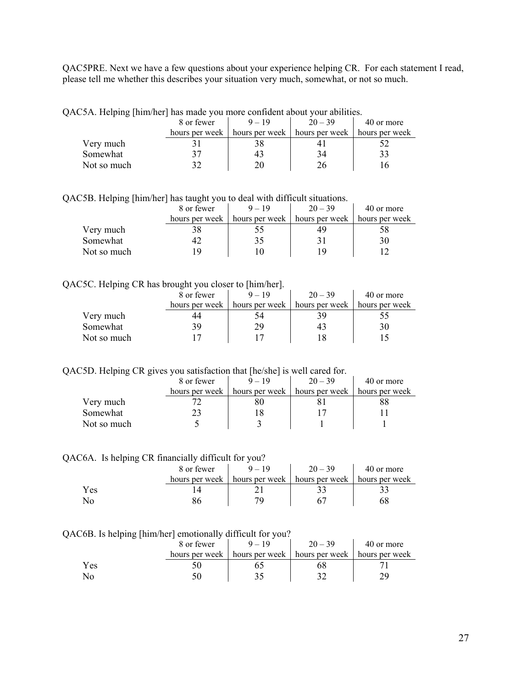QAC5PRE. Next we have a few questions about your experience helping CR. For each statement I read, please tell me whether this describes your situation very much, somewhat, or not so much.

| QAC5A. Helping [him/her] has made you more confident about your abilities. |            |                                                                   |           |            |
|----------------------------------------------------------------------------|------------|-------------------------------------------------------------------|-----------|------------|
|                                                                            | 8 or fewer | $9 - 19$                                                          | $20 - 39$ | 40 or more |
|                                                                            |            | hours per week   hours per week   hours per week   hours per week |           |            |
| Very much                                                                  |            |                                                                   |           |            |
| Somewhat                                                                   | 37         | 43                                                                | 34        | 33         |
| Not so much                                                                |            | 20                                                                | 26        |            |

 $\mathbf{A}^T = \mathbf{H}^T \mathbf{A} - \mathbf{H}$  is made you more confident about you more confident about  $\mathbf{A}^T = \mathbf{H}^T \mathbf{A} + \mathbf{H}^T \mathbf{A}$ 

QAC5B. Helping [him/her] has taught you to deal with difficult situations.

| .           | 8 or fewer     | $9 - 19$       | $20 - 39$      | 40 or more     |
|-------------|----------------|----------------|----------------|----------------|
|             | hours per week | hours per week | hours per week | hours per week |
| Very much   |                |                | 49             |                |
| Somewhat    |                |                |                |                |
| Not so much | q              |                | <b>U</b>       |                |

#### QAC5C. Helping CR has brought you closer to [him/her].

| . .         | 8 or fewer     | $9 - 19$       | $20 - 39$      | 40 or more     |
|-------------|----------------|----------------|----------------|----------------|
|             | hours per week | hours per week | hours per week | hours per week |
| Very much   | 44             | 54             |                |                |
| Somewhat    | 39             | 29             | 4.             |                |
| Not so much |                |                |                |                |

QAC5D. Helping CR gives you satisfaction that [he/she] is well cared for.

|             | 8 or fewer     | $9 - 19$       | $20 - 39$      | 40 or more     |
|-------------|----------------|----------------|----------------|----------------|
|             | hours per week | hours per week | hours per week | hours per week |
| Very much   |                | ŏι             |                | 88             |
| Somewhat    |                |                |                |                |
| Not so much |                |                |                |                |

QAC6A. Is helping CR financially difficult for you?

|     | 8 or fewer     | $9 - 19$       | $20 - 39$      | 40 or more     |
|-----|----------------|----------------|----------------|----------------|
|     | hours per week | hours per week | hours per week | hours per week |
| Yes |                |                |                |                |
|     | oс             |                |                |                |

#### QAC6B. Is helping [him/her] emotionally difficult for you?

| .   | 8 or fewer     |                | $20 - 39$      | 40 or more     |
|-----|----------------|----------------|----------------|----------------|
|     | hours per week | hours per week | hours per week | hours per week |
| Yes |                |                |                |                |
| No  |                |                |                |                |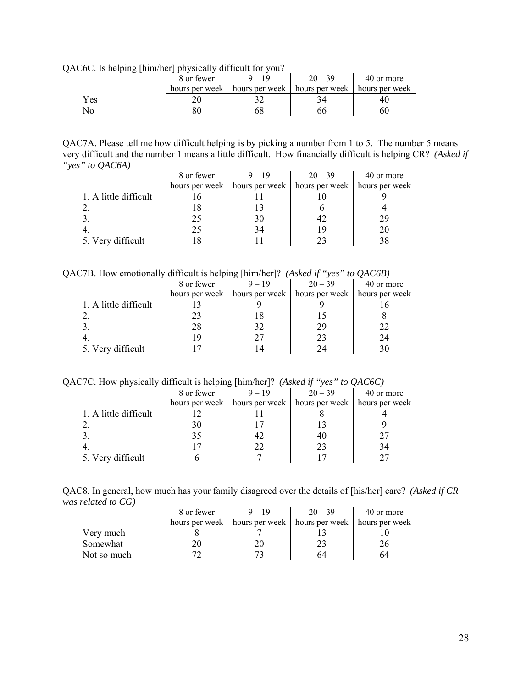QAC6C. Is helping [him/her] physically difficult for you?

|     | . | .<br>8 or fewer | $9 - 19$       | $20 - 39$      | 40 or more     |
|-----|---|-----------------|----------------|----------------|----------------|
|     |   | hours per week  | hours per week | hours per week | hours per week |
| Yes |   |                 |                |                | 40             |
| No  |   |                 | 68             | hh             | 60             |

QAC7A. Please tell me how difficult helping is by picking a number from 1 to 5. The number 5 means very difficult and the number 1 means a little difficult. How financially difficult is helping CR? *(Asked if "yes" to QAC6A)*

|                       | 8 or fewer     | $9 - 19$       | $20 - 39$      | 40 or more     |
|-----------------------|----------------|----------------|----------------|----------------|
|                       | hours per week | hours per week | hours per week | hours per week |
| 1. A little difficult |                |                |                |                |
|                       |                |                |                |                |
|                       | 25             | 30             |                | 29             |
|                       | 25             | 34             | 19             | 20             |
| 5. Very difficult     |                |                |                | 38             |

QAC7B. How emotionally difficult is helping [him/her]? *(Asked if "yes" to QAC6B)* 

|                       | -              | . .            |                |                |
|-----------------------|----------------|----------------|----------------|----------------|
|                       | 8 or fewer     | $9 - 19$       | $20 - 39$      | 40 or more     |
|                       | hours per week | hours per week | hours per week | hours per week |
| 1. A little difficult |                |                |                |                |
|                       | 23             |                |                |                |
|                       | 28             | 32             | 29             | 22             |
|                       | 19             | 27             | 23             | 24             |
| 5. Very difficult     |                | 14             | 24             | 30             |
|                       |                |                |                |                |

QAC7C. How physically difficult is helping [him/her]? *(Asked if "yes" to QAC6C)*

|                       | 8 or fewer     | $9 - 19$       | $20 - 39$      | 40 or more     |
|-----------------------|----------------|----------------|----------------|----------------|
|                       | hours per week | hours per week | hours per week | hours per week |
| 1. A little difficult |                |                |                |                |
|                       | 30             |                |                |                |
|                       | 35             |                | 40             |                |
|                       |                | 22             | 23             | 34             |
| 5. Very difficult     |                |                |                |                |

QAC8. In general, how much has your family disagreed over the details of [his/her] care? *(Asked if CR was related to CG)*   $\mathbf{r}$  $\hat{\mathbf{r}}$ 

|             | 8 or fewer     | $9 - 19$ | $20 - 39$                                        | 40 or more |
|-------------|----------------|----------|--------------------------------------------------|------------|
|             | hours per week |          | hours per week   hours per week   hours per week |            |
| Very much   |                |          |                                                  |            |
| Somewhat    |                |          |                                                  | 26         |
| Not so much |                |          | 64                                               | 64         |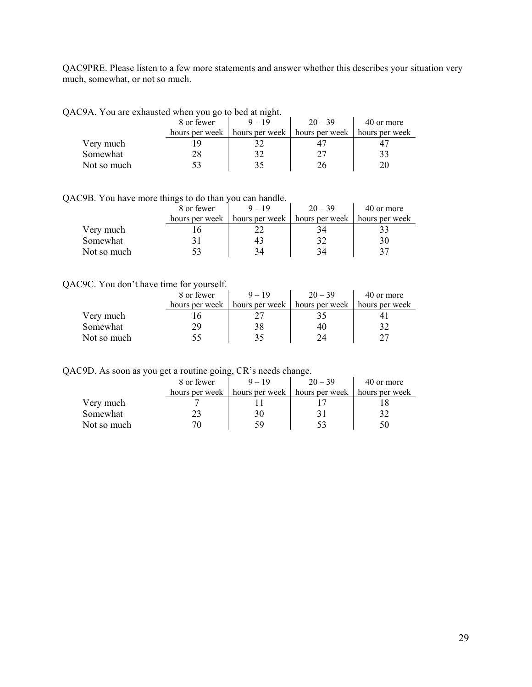QAC9PRE. Please listen to a few more statements and answer whether this describes your situation very much, somewhat, or not so much.

| ACYA. You are exhausted when you go to bed at might. |                |
|------------------------------------------------------|----------------|
| $20 - 39$<br>8 or fewer<br>$9 - 19$                  | 40 or more     |
| hours per week   hours per week   hours per week     | hours per week |
| Very much                                            |                |
| Somewhat<br>27<br>32<br>28                           | 33             |
| Not so much<br>35<br>76                              |                |

QAC9A. You are exhausted when you go to bed at night.

QAC9B. You have more things to do than you can handle.

|             | 8 or fewer     | $9 - 19$       | $20 - 39$      | 40 or more     |
|-------------|----------------|----------------|----------------|----------------|
|             | hours per week | hours per week | hours per week | hours per week |
| Very much   |                |                | 34             |                |
| Somewhat    |                | 43             |                | 30             |
| Not so much |                | 34             | 34             | 37             |

#### QAC9C. You don't have time for yourself.

|             | 8 or fewer     | $9 - 19$       | $20 - 39$      | 40 or more     |
|-------------|----------------|----------------|----------------|----------------|
|             | hours per week | hours per week | hours per week | hours per week |
| Very much   |                |                |                |                |
| Somewhat    | 29             | 38             | 40             |                |
| Not so much |                |                | 24             |                |

QAC9D. As soon as you get a routine going, CR's needs change.

|             | 8 or fewer     | $9 - 19$       | $20 - 39$      | 40 or more     |
|-------------|----------------|----------------|----------------|----------------|
|             | hours per week | hours per week | hours per week | hours per week |
| Very much   |                |                |                |                |
| Somewhat    | 23             | 30             |                |                |
| Not so much |                | 59             |                |                |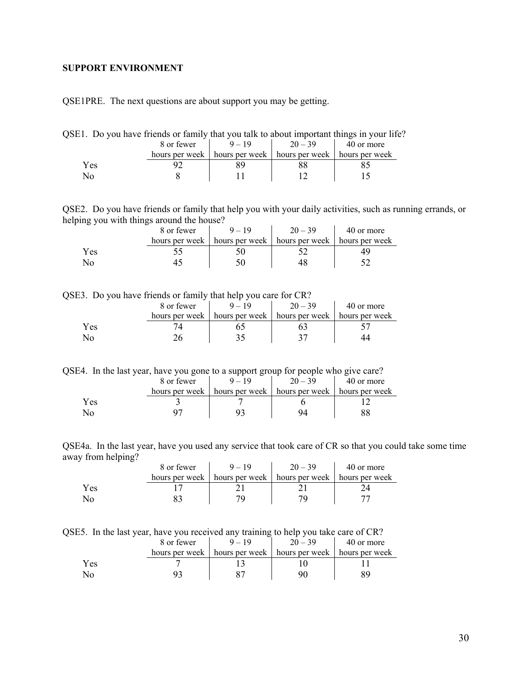### <span id="page-29-0"></span>**SUPPORT ENVIRONMENT**

QSE1PRE. The next questions are about support you may be getting.

| QSE1. Do you have friends or family that you talk to about important things in your life? |            |          |                                                                   |            |
|-------------------------------------------------------------------------------------------|------------|----------|-------------------------------------------------------------------|------------|
|                                                                                           | 8 or fewer | $9 - 19$ | $20 - 39$                                                         | 40 or more |
|                                                                                           |            |          | hours per week   hours per week   hours per week   hours per week |            |
| Yes                                                                                       |            |          |                                                                   |            |
| Ν∩                                                                                        |            |          |                                                                   |            |

QSE2. Do you have friends or family that help you with your daily activities, such as running errands, or helping you with things around the house?

|              | 8 or fewer     | $9 - 19$ | $20 - 39$                       | 40 or more     |
|--------------|----------------|----------|---------------------------------|----------------|
|              | hours per week |          | hours per week   hours per week | hours per week |
| Yes          |                |          |                                 |                |
| $N_{\Omega}$ |                |          |                                 |                |

QSE3. Do you have friends or family that help you care for CR?

|     | 8 or fewer | $20 - 39$                                                         | 40 or more |
|-----|------------|-------------------------------------------------------------------|------------|
|     |            | hours per week   hours per week   hours per week   hours per week |            |
| Yes |            |                                                                   |            |
|     |            |                                                                   |            |

QSE4. In the last year, have you gone to a support group for people who give care?

|     | 8 or fewer     | $20 - 39$                       | 40 or more     |
|-----|----------------|---------------------------------|----------------|
|     | hours per week | hours per week   hours per week | hours per week |
| Yes |                |                                 |                |
| No  |                |                                 |                |

QSE4a. In the last year, have you used any service that took care of CR so that you could take some time away from helping?

|     | 8 or fewer | $9 - 19$                                                          | $20 - 39$ | 40 or more |
|-----|------------|-------------------------------------------------------------------|-----------|------------|
|     |            | hours per week   hours per week   hours per week   hours per week |           |            |
| Yes |            |                                                                   |           |            |
|     |            |                                                                   |           |            |

|  |  |  | QSE5. In the last year, have you received any training to help you take care of CR? |
|--|--|--|-------------------------------------------------------------------------------------|
|  |  |  |                                                                                     |

|     | 8 or fewer     |                | $20 - 39$      | 40 or more     |  |  |
|-----|----------------|----------------|----------------|----------------|--|--|
|     | hours per week | hours per week | hours per week | hours per week |  |  |
| Yes |                |                |                |                |  |  |
| No  |                |                |                |                |  |  |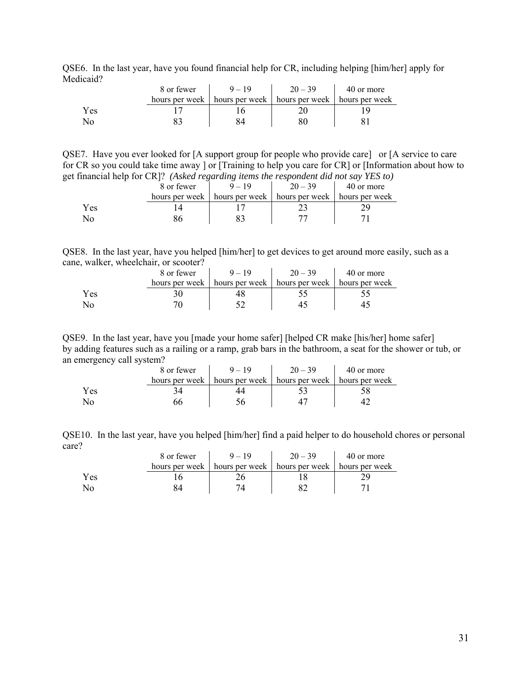QSE6. In the last year, have you found financial help for CR, including helping [him/her] apply for Medicaid?

|     | 8 or fewer | $9 - 19$                                                          | $20 - 39$ | 40 or more |
|-----|------------|-------------------------------------------------------------------|-----------|------------|
|     |            | hours per week   hours per week   hours per week   hours per week |           |            |
| Yes |            |                                                                   |           |            |
| No  |            |                                                                   |           |            |

QSE7. Have you ever looked for [A support group for people who provide care] or [A service to care for CR so you could take time away ] or [Training to help you care for CR] or [Information about how to get financial help for CR]? *(Asked regarding items the respondent did not say YES to)* 

|     | 8 or fewer     |                | $20 - 39$      | 40 or more     |
|-----|----------------|----------------|----------------|----------------|
|     | hours per week | hours per week | hours per week | hours per week |
| Yes |                |                |                |                |
| NС  |                |                |                |                |

QSE8. In the last year, have you helped [him/her] to get devices to get around more easily, such as a cane, walker, wheelchair, or scooter?

|     | 8 or fewer | $9 - 19$                                                          | $20 - 39$ | 40 or more |
|-----|------------|-------------------------------------------------------------------|-----------|------------|
|     |            | hours per week   hours per week   hours per week   hours per week |           |            |
| Yes |            |                                                                   |           |            |
| No  |            |                                                                   |           |            |

QSE9. In the last year, have you [made your home safer] [helped CR make [his/her] home safer] by adding features such as a railing or a ramp, grab bars in the bathroom, a seat for the shower or tub, or an emergency call system?

|     | 8 or fewer     | $9 - 19$ | $20 - 39$                                        | 40 or more |
|-----|----------------|----------|--------------------------------------------------|------------|
|     | hours per week |          | hours per week   hours per week   hours per week |            |
| Yes |                |          |                                                  |            |
|     |                |          |                                                  |            |

QSE10. In the last year, have you helped [him/her] find a paid helper to do household chores or personal care?

|      | 8 or fewer     | $9 - 19$ | $20 - 39$                                        | 40 or more |
|------|----------------|----------|--------------------------------------------------|------------|
|      | hours per week |          | hours per week   hours per week   hours per week |            |
| Y es |                |          |                                                  |            |
|      |                |          |                                                  |            |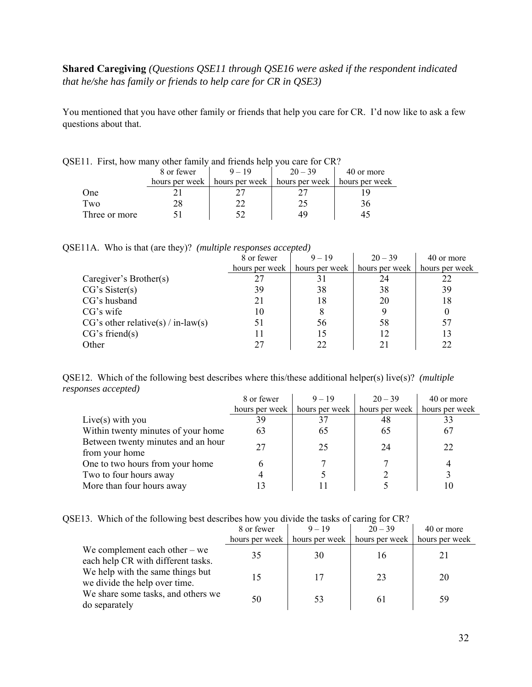# **Shared Caregiving** *(Questions QSE11 through QSE16 were asked if the respondent indicated that he/she has family or friends to help care for CR in QSE3)*

You mentioned that you have other family or friends that help you care for CR. I'd now like to ask a few questions about that.

|               | E11. First, how many other family and friends help you care for CR? |                                                                   |    |    |  |  |  |  |  |  |  |  |  |
|---------------|---------------------------------------------------------------------|-------------------------------------------------------------------|----|----|--|--|--|--|--|--|--|--|--|
|               | 40 or more                                                          |                                                                   |    |    |  |  |  |  |  |  |  |  |  |
|               |                                                                     | hours per week   hours per week   hours per week   hours per week |    |    |  |  |  |  |  |  |  |  |  |
| One           |                                                                     |                                                                   |    |    |  |  |  |  |  |  |  |  |  |
| Two           |                                                                     |                                                                   | 25 | 36 |  |  |  |  |  |  |  |  |  |
| Three or more |                                                                     |                                                                   | 49 |    |  |  |  |  |  |  |  |  |  |

|  |  | QSE11. First, how many other family and friends help you care for CR? |  |
|--|--|-----------------------------------------------------------------------|--|
|  |  |                                                                       |  |

QSE11A. Who is that (are they)? *(multiple responses accepted)*

|                                      | 8 or fewer     | $9 - 19$       | $20 - 39$      | 40 or more     |
|--------------------------------------|----------------|----------------|----------------|----------------|
|                                      | hours per week | hours per week | hours per week | hours per week |
| Caregiver's Brother(s)               |                |                | 24             |                |
| CG's Sister(s)                       | 39             | 38             | 38             | 39             |
| CG's husband                         | 21             | 18             | 20             | 18             |
| CG's wife                            | 10             | 8              |                |                |
| $CG's other relative(s) / in-law(s)$ | 51             | 56             | 58             |                |
| CG's friend(s)                       | 11             |                | 12             | 13             |
| Other                                | 27             | 22             |                |                |

QSE12. Which of the following best describes where this/these additional helper(s) live(s)? *(multiple responses accepted)*  $\mathbf{r}$  $\mathcal{L}_{\mathbf{r}}$  $\sim$ 

|                                    | 8 or fewer     | $9 - 19$       | $20 - 39$      | 40 or more     |
|------------------------------------|----------------|----------------|----------------|----------------|
|                                    | hours per week | hours per week | hours per week | hours per week |
| Live(s) with you                   | 39             |                | 48             |                |
| Within twenty minutes of your home | 63             | 65             | 65             | 67             |
| Between twenty minutes and an hour | 27             | 25             | 24             | 22             |
| from your home                     |                |                |                |                |
| One to two hours from your home    | h              |                |                |                |
| Two to four hours away             |                |                |                |                |
| More than four hours away          |                |                |                |                |

|  | QSE13. Which of the following best describes how you divide the tasks of caring for CR? |  |  |  |  |  |  |  |  |
|--|-----------------------------------------------------------------------------------------|--|--|--|--|--|--|--|--|
|  |                                                                                         |  |  |  |  |  |  |  |  |

|                                                                       | 8 or fewer     | $9 - 19$       | $20 - 39$      | 40 or more     |
|-----------------------------------------------------------------------|----------------|----------------|----------------|----------------|
|                                                                       | hours per week | hours per week | hours per week | hours per week |
| We complement each other $-$ we<br>each help CR with different tasks. | 35             | 30             | 16             |                |
| We help with the same things but<br>we divide the help over time.     | 15             | 17             | 23             | 20             |
| We share some tasks, and others we<br>do separately                   | 50             | 53             | 61             | 59             |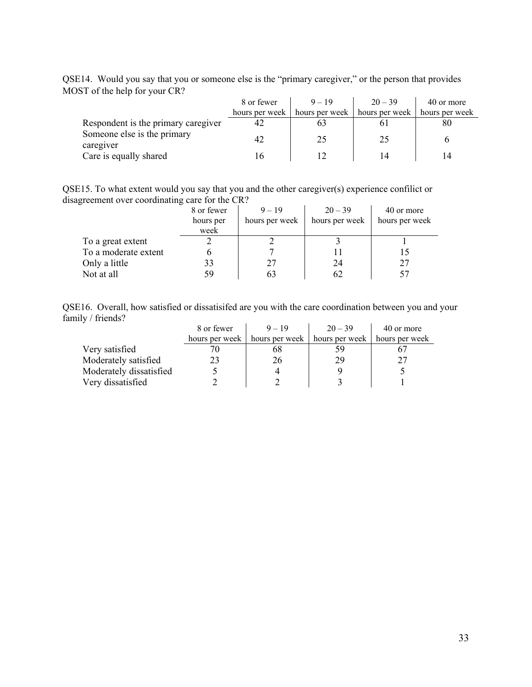QSE14. Would you say that you or someone else is the "primary caregiver," or the person that provides MOST of the help for your CR?

|                                          | 8 or fewer     | $9 - 19$       | $20 - 39$      | 40 or more     |
|------------------------------------------|----------------|----------------|----------------|----------------|
|                                          | hours per week | hours per week | hours per week | hours per week |
| Respondent is the primary caregiver      | 42             |                |                | 80             |
| Someone else is the primary<br>caregiver | 42             | 25             | 25             |                |
| Care is equally shared                   | 6              |                | 14             |                |

QSE15. To what extent would you say that you and the other caregiver(s) experience confilict or disagreement over coordinating care for the CR?

|                      | 8 or fewer<br>hours per<br>week | $9 - 19$<br>hours per week | $20 - 39$<br>hours per week | 40 or more<br>hours per week |
|----------------------|---------------------------------|----------------------------|-----------------------------|------------------------------|
| To a great extent    |                                 |                            |                             |                              |
| To a moderate extent |                                 |                            |                             |                              |
| Only a little        | 33                              | 27                         | 24                          |                              |
| Not at all           | 59                              |                            |                             |                              |

QSE16. Overall, how satisfied or dissatisifed are you with the care coordination between you and your family / friends?

|                         | 8 or fewer     | $9 - 19$ | $20 - 39$                                             | 40 or more     |
|-------------------------|----------------|----------|-------------------------------------------------------|----------------|
|                         | hours per week |          | hours per week $\parallel$ hours per week $\parallel$ | hours per week |
| Very satisfied          |                | 68       |                                                       |                |
| Moderately satisfied    | 23             | 26       | 29                                                    | フフ             |
| Moderately dissatisfied |                |          |                                                       |                |
| Very dissatisfied       |                |          |                                                       |                |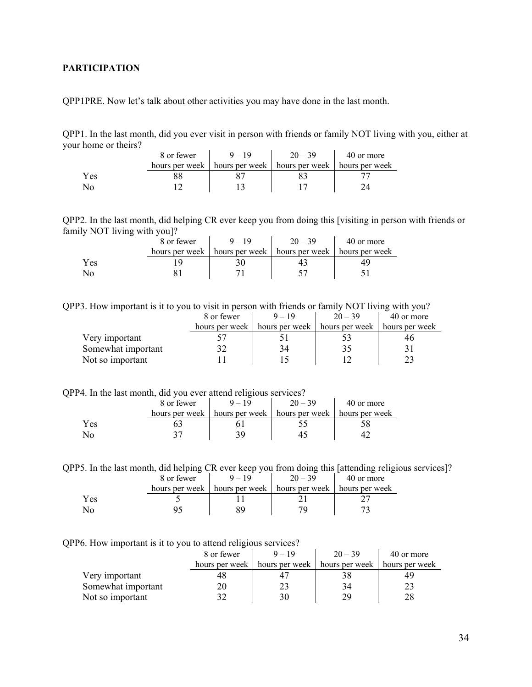## <span id="page-33-0"></span>**PARTICIPATION**

QPP1PRE. Now let's talk about other activities you may have done in the last month.

QPP1. In the last month, did you ever visit in person with friends or family NOT living with you, either at your home or theirs?

|     | 8 or fewer |                                                                   | $20 - 39$ | 40 or more |
|-----|------------|-------------------------------------------------------------------|-----------|------------|
|     |            | hours per week   hours per week   hours per week   hours per week |           |            |
| Yes |            |                                                                   |           |            |
|     |            |                                                                   |           |            |

QPP2. In the last month, did helping CR ever keep you from doing this [visiting in person with friends or family NOT living with you]?

|     | 8 or fewer     | $9 - 19$       | $20 - 39$        | 40 or more     |
|-----|----------------|----------------|------------------|----------------|
|     | hours per week | hours per week | l hours per week | hours per week |
| Yes |                |                |                  |                |
| No  |                |                |                  |                |

QPP3. How important is it to you to visit in person with friends or family NOT living with you?

|                    | 8 or fewer     | $9 - 19$       | $20 - 39$      | 40 or more     |
|--------------------|----------------|----------------|----------------|----------------|
|                    | hours per week | hours per week | hours per week | hours per week |
| Very important     |                |                |                |                |
| Somewhat important |                | 34             |                |                |
| Not so important   |                |                |                |                |

QPP4. In the last month, did you ever attend religious services?

|      | 8 or fewer | $9 - 19$                                                          | $20 - 39$ | 40 or more |
|------|------------|-------------------------------------------------------------------|-----------|------------|
|      |            | hours per week   hours per week   hours per week   hours per week |           |            |
| Y es |            |                                                                   |           |            |
|      |            |                                                                   |           |            |

QPP5. In the last month, did helping CR ever keep you from doing this [attending religious services]?

|     | 8 or fewer     | $20 - 39$                                        | 40 or more |
|-----|----------------|--------------------------------------------------|------------|
|     | hours per week | hours per week   hours per week   hours per week |            |
| Yes |                |                                                  |            |
|     |                |                                                  |            |

QPP6. How important is it to you to attend religious services?

|                    | 8 or fewer     | $9 - 19$       | $20 - 39$      | 40 or more     |
|--------------------|----------------|----------------|----------------|----------------|
|                    | hours per week | hours per week | hours per week | hours per week |
| Very important     |                |                |                |                |
| Somewhat important | 20             | 23             | 34             |                |
| Not so important   |                |                | 79             | 28             |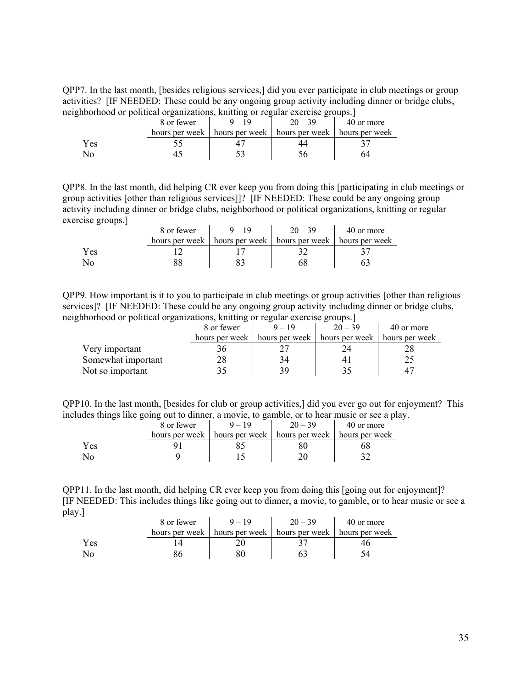QPP7. In the last month, [besides religious services,] did you ever participate in club meetings or group activities? [IF NEEDED: These could be any ongoing group activity including dinner or bridge clubs, neighborhood or political organizations, knitting or regular exercise groups.]

|     | 8 or fewer     | $9 - 19$                                         | $20 - 39$ | 40 or more |
|-----|----------------|--------------------------------------------------|-----------|------------|
|     | hours per week | hours per week   hours per week   hours per week |           |            |
| Yes |                |                                                  |           |            |
| No  |                |                                                  |           |            |

QPP8. In the last month, did helping CR ever keep you from doing this [participating in club meetings or group activities [other than religious services]]? [IF NEEDED: These could be any ongoing group activity including dinner or bridge clubs, neighborhood or political organizations, knitting or regular exercise groups.]

|      | 8 or fewer     | $9 - 19$ | $20 - 39$                       | 40 or more     |
|------|----------------|----------|---------------------------------|----------------|
|      | hours per week |          | hours per week   hours per week | hours per week |
| Y es |                |          |                                 |                |
|      |                |          |                                 |                |

QPP9. How important is it to you to participate in club meetings or group activities [other than religious services]? [IF NEEDED: These could be any ongoing group activity including dinner or bridge clubs, neighborhood or political organizations, knitting or regular exercise groups.]

|                    | 8 or fewer     | $9 - 19$       | $20 - 39$                       | 40 or more |
|--------------------|----------------|----------------|---------------------------------|------------|
|                    | hours per week | hours per week | hours per week   hours per week |            |
| Very important     |                |                |                                 |            |
| Somewhat important | 28             | 34             |                                 |            |
| Not so important   |                | 39             |                                 |            |

QPP10. In the last month, [besides for club or group activities,] did you ever go out for enjoyment? This includes things like going out to dinner, a movie, to gamble, or to hear music or see a play.

|     |  | 8 or fewer     |                | $20 - 39$      | 40 or more     |
|-----|--|----------------|----------------|----------------|----------------|
|     |  | hours per week | hours per week | hours per week | hours per week |
| Yes |  |                |                |                |                |
|     |  |                |                |                |                |

QPP11. In the last month, did helping CR ever keep you from doing this [going out for enjoyment]? [IF NEEDED: This includes things like going out to dinner, a movie, to gamble, or to hear music or see a play.]

|     | 8 or fewer     |                                                  | $20 - 39$ | 40 or more |
|-----|----------------|--------------------------------------------------|-----------|------------|
|     | hours per week | hours per week   hours per week   hours per week |           |            |
| Yes |                |                                                  |           |            |
| No  |                |                                                  |           |            |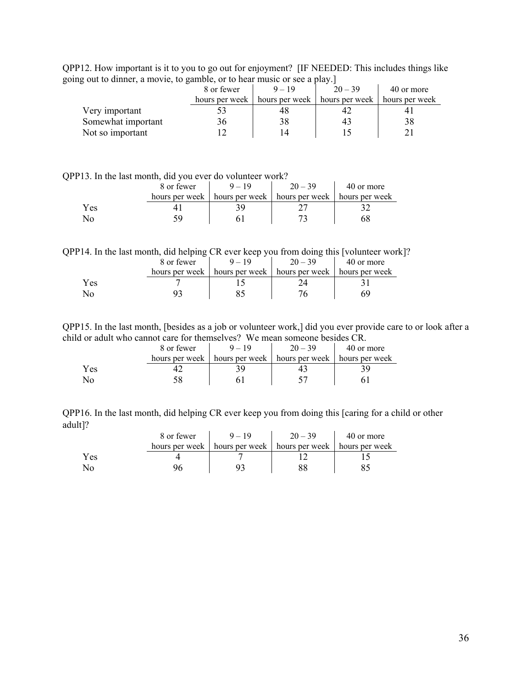QPP12. How important is it to you to go out for enjoyment? [IF NEEDED: This includes things like going out to dinner, a movie, to gamble, or to hear music or see a play.]

|                    | 8 or fewer     | $9 - 19$ | $20 - 39$                                        | 40 or more |
|--------------------|----------------|----------|--------------------------------------------------|------------|
|                    | hours per week |          | hours per week   hours per week   hours per week |            |
| Very important     |                |          |                                                  |            |
| Somewhat important |                |          |                                                  |            |
| Not so important   |                |          |                                                  |            |

| QPP13. In the last month, did you ever do volunteer work? |
|-----------------------------------------------------------|
|-----------------------------------------------------------|

|            | 8 or fewer     | $20 - 39$                                        | 40 or more |
|------------|----------------|--------------------------------------------------|------------|
|            | hours per week | hours per week   hours per week   hours per week |            |
| <b>Yes</b> |                |                                                  |            |
|            |                |                                                  |            |

QPP14. In the last month, did helping CR ever keep you from doing this [volunteer work]?

|     | 8 or fewer     | $20 - 39$                       | 40 or more     |
|-----|----------------|---------------------------------|----------------|
|     | hours per week | hours per week   hours per week | hours per week |
| Yes |                |                                 |                |
| No- |                |                                 | 5y             |

QPP15. In the last month, [besides as a job or volunteer work,] did you ever provide care to or look after a child or adult who cannot care for themselves? We mean someone besides CR.

|     | 8 or fewer | $9 - 19$                                                          | $20 - 39$ | 40 or more |
|-----|------------|-------------------------------------------------------------------|-----------|------------|
|     |            | hours per week   hours per week   hours per week   hours per week |           |            |
| Yes |            |                                                                   |           |            |
|     |            |                                                                   |           |            |

QPP16. In the last month, did helping CR ever keep you from doing this [caring for a child or other adult]?

|     | 8 or fewer     | $9 - 19$                        | $20 - 39$ | 40 or more     |
|-----|----------------|---------------------------------|-----------|----------------|
|     | hours per week | hours per week   hours per week |           | hours per week |
| Yes |                |                                 |           |                |
| No  |                |                                 |           |                |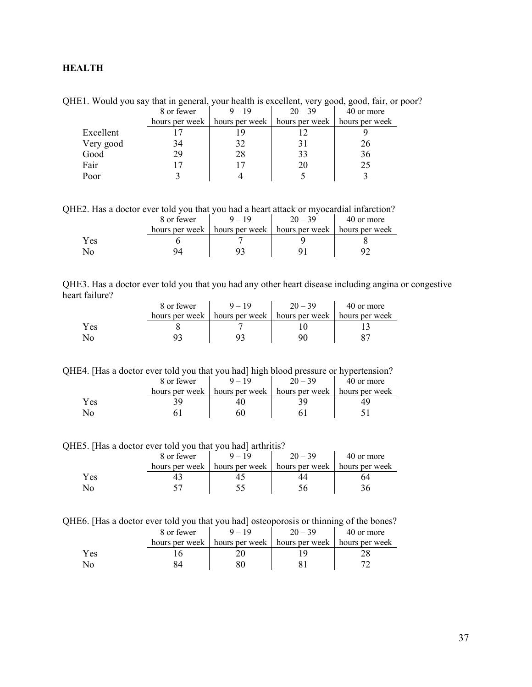## <span id="page-36-0"></span>**HEALTH**

QHE1. Would you say that in general, your health is excellent, very good, good, fair, or poor? 8 or fewer  $9 - 19$   $20 - 39$   $40$  or more

|           | 0.0110001      | $\sqrt{ }$ | $\sim$ $\prime$                 | $T_{\rm U}$ of more |
|-----------|----------------|------------|---------------------------------|---------------------|
|           | hours per week |            | hours per week   hours per week | hours per week      |
| Excellent |                |            |                                 |                     |
| Very good | 34             | 32         |                                 | 26                  |
| Good      | 29             | 28         |                                 | 36                  |
| Fair      |                |            |                                 | 25                  |
| Poor      |                |            |                                 |                     |

QHE2. Has a doctor ever told you that you had a heart attack or myocardial infarction?

|      | 8 or fewer     | $20 - 39$                                        | 40 or more |
|------|----------------|--------------------------------------------------|------------|
|      | hours per week | hours per week   hours per week   hours per week |            |
| Y es |                |                                                  |            |
|      |                |                                                  |            |

QHE3. Has a doctor ever told you that you had any other heart disease including angina or congestive heart failure?  $\mathbf{r}$  $\sim 10$ 

|     | 8 or fewer | $20 - 39$                                                         | 40 or more |
|-----|------------|-------------------------------------------------------------------|------------|
|     |            | hours per week   hours per week   hours per week   hours per week |            |
| Yes |            |                                                                   |            |
| No  |            |                                                                   |            |

QHE4. [Has a doctor ever told you that you had] high blood pressure or hypertension?

|     | 8 or fewer     |                | $20 - 39$      | 40 or more     |
|-----|----------------|----------------|----------------|----------------|
|     | hours per week | hours per week | hours per week | hours per week |
| Yes |                |                |                |                |
|     |                |                |                |                |

QHE5. [Has a doctor ever told you that you had] arthritis?

|      | 8 or fewer     | $9 - 19$                                         | $20 - 39$ | 40 or more |
|------|----------------|--------------------------------------------------|-----------|------------|
|      | hours per week | hours per week   hours per week   hours per week |           |            |
| Y es |                |                                                  |           | ን4         |
| N٥   |                |                                                  |           |            |

| OHE6. [Has a doctor ever told you that you had] osteoporosis or thinning of the bones? |  |  |  |  |  |  |  |
|----------------------------------------------------------------------------------------|--|--|--|--|--|--|--|
|----------------------------------------------------------------------------------------|--|--|--|--|--|--|--|

|     | 8 or fewer     | $9 - 19$       | $20 - 39$      | 40 or more     |
|-----|----------------|----------------|----------------|----------------|
|     | hours per week | hours per week | hours per week | hours per week |
| Yes |                |                |                |                |
| Nο  |                |                |                |                |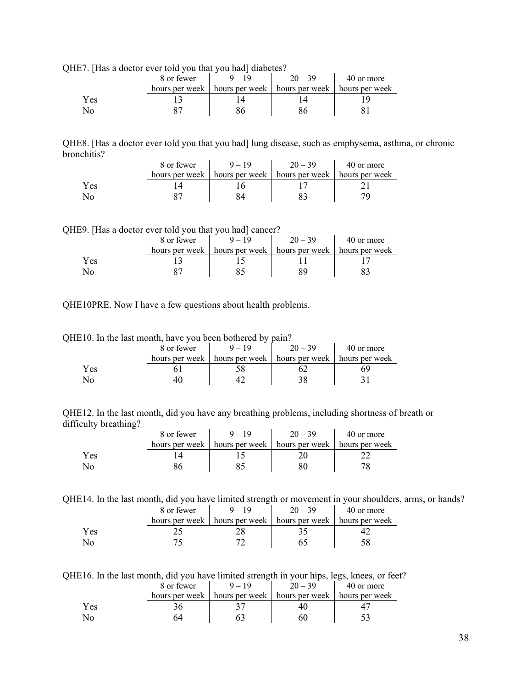QHE7. [Has a doctor ever told you that you had] diabetes?

| .   | 8 or fewer |                                                                   | $20 - 39$ | 40 or more |
|-----|------------|-------------------------------------------------------------------|-----------|------------|
|     |            | hours per week   hours per week   hours per week   hours per week |           |            |
| Yes |            |                                                                   |           |            |
| No  |            |                                                                   |           |            |

QHE8. [Has a doctor ever told you that you had] lung disease, such as emphysema, asthma, or chronic bronchitis?  $\mathcal{L}^{\mathcal{L}}$  $\mathbf{r}$ 

|     | 8 or fewer | $9 - 19$                                                          | $20 - 39$ | 40 or more |
|-----|------------|-------------------------------------------------------------------|-----------|------------|
|     |            | hours per week   hours per week   hours per week   hours per week |           |            |
| Yes |            |                                                                   |           |            |
|     |            |                                                                   |           |            |

QHE9. [Has a doctor ever told you that you had] cancer?

| -    | 8 or fewer     | __                              | $20 - 39$ | 40 or more     |
|------|----------------|---------------------------------|-----------|----------------|
|      | hours per week | hours per week   hours per week |           | hours per week |
| Yes. |                |                                 |           |                |
| NC.  |                |                                 |           |                |

QHE10PRE. Now I have a few questions about health problems.

| QHE10. In the last month, have you been bothered by pain? |                             |  |
|-----------------------------------------------------------|-----------------------------|--|
|                                                           | 8 or fewer $-9-19$ $-20-39$ |  |

|     | 8 or fewer |                                                                   | $20 - 39$ | 40 or more |
|-----|------------|-------------------------------------------------------------------|-----------|------------|
|     |            | hours per week   hours per week   hours per week   hours per week |           |            |
| Yes |            |                                                                   |           |            |
|     |            |                                                                   |           |            |

QHE12. In the last month, did you have any breathing problems, including shortness of breath or difficulty breathing?

|     | 8 or fewer | $9 - 19$                                                          | $20 - 39$ | 40 or more |
|-----|------------|-------------------------------------------------------------------|-----------|------------|
|     |            | hours per week   hours per week   hours per week   hours per week |           |            |
| Yes |            |                                                                   |           |            |
|     |            |                                                                   |           |            |

QHE14. In the last month, did you have limited strength or movement in your shoulders, arms, or hands?

|     | 8 or fewer | $20 - 39$                                                         | 40 or more |
|-----|------------|-------------------------------------------------------------------|------------|
|     |            | hours per week   hours per week   hours per week   hours per week |            |
| Yes |            |                                                                   |            |
|     |            |                                                                   |            |

QHE16. In the last month, did you have limited strength in your hips, legs, knees, or feet?

|     | 8 or fewer     | $9 - 19$       | $20 - 39$      | 40 or more     |
|-----|----------------|----------------|----------------|----------------|
|     | hours per week | hours per week | hours per week | hours per week |
| Yes |                |                |                |                |
| No  | ٦4             |                |                |                |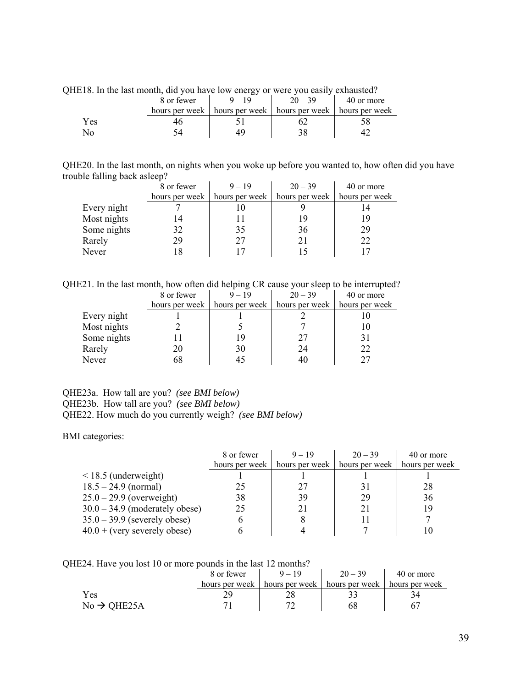|     | 8 or fewer     | ັ<br>$9 - 19$ | $20 - 39$                       | 40 or more     |
|-----|----------------|---------------|---------------------------------|----------------|
|     | hours per week |               | hours per week   hours per week | hours per week |
| Yes |                |               |                                 |                |
|     |                |               |                                 |                |

QHE18. In the last month, did you have low energy or were you easily exhausted?

QHE20. In the last month, on nights when you woke up before you wanted to, how often did you have trouble falling back asleep?

|             | 8 or fewer     | $9 - 19$       | $20 - 39$      | 40 or more     |
|-------------|----------------|----------------|----------------|----------------|
|             | hours per week | hours per week | hours per week | hours per week |
| Every night |                |                |                |                |
| Most nights |                |                | 19             | 19             |
| Some nights | 32             | 35             | 36             | 29             |
| Rarely      | 29             | 27             | 21             | 22             |
| Never       | ۱8             |                |                |                |

QHE21. In the last month, how often did helping CR cause your sleep to be interrupted?

|             | 8 or fewer     | $9 - 19$       | $20 - 39$      | 40 or more     |
|-------------|----------------|----------------|----------------|----------------|
|             | hours per week | hours per week | hours per week | hours per week |
| Every night |                |                |                |                |
| Most nights |                |                |                | 10             |
| Some nights |                | 19             | 27             | 31             |
| Rarely      |                | 30             | 24             | 22             |
| Never       |                | 45             |                | 27             |

QHE23a. How tall are you? *(see BMI below)* QHE23b. How tall are you? *(see BMI below)* QHE22. How much do you currently weigh? *(see BMI below)* 

BMI categories:

|                                  | 8 or fewer     | $9 - 19$ | $20 - 39$                       | 40 or more     |
|----------------------------------|----------------|----------|---------------------------------|----------------|
|                                  | hours per week |          | hours per week   hours per week | hours per week |
| $\leq$ 18.5 (underweight)        |                |          |                                 |                |
| $18.5 - 24.9$ (normal)           | 25             | 27       | 31                              | 28             |
| $25.0 - 29.9$ (overweight)       | 38             | 39       | 29                              | 36             |
| $30.0 - 34.9$ (moderately obese) | 25             | 21       | 21                              | 19             |
| $35.0 - 39.9$ (severely obese)   | <sub>0</sub>   | 8        |                                 |                |
| $40.0 + (very severely obese)$   | h              |          |                                 |                |

QHE24. Have you lost 10 or more pounds in the last 12 months?

|                         | 8 or fewer       | $9 - 19$       | $20 - 39$      | 40 or more     |
|-------------------------|------------------|----------------|----------------|----------------|
|                         | hours per week 1 | hours per week | hours per week | hours per week |
| Yes                     |                  |                |                | 34             |
| $No \rightarrow OHE25A$ |                  |                | 68             |                |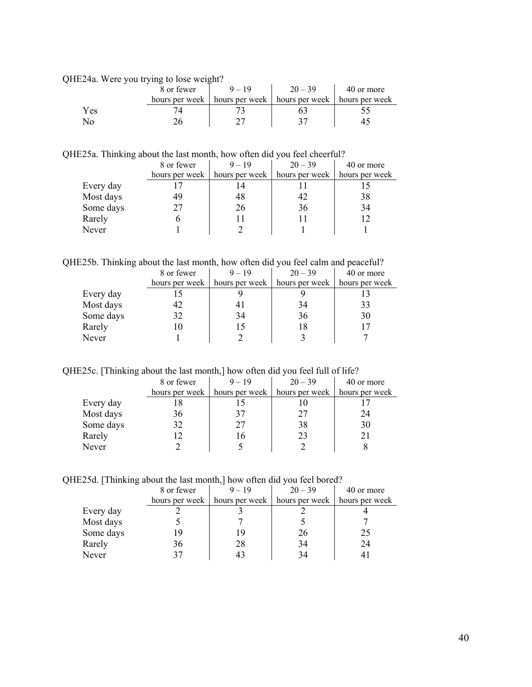QHE24a. Were you trying to lose weight?

|      | . .<br>8 or fewer |                                                  | $20 - 39$ | 40 or more |
|------|-------------------|--------------------------------------------------|-----------|------------|
|      | hours per week    | hours per week   hours per week   hours per week |           |            |
| Y es |                   |                                                  |           |            |
|      |                   |                                                  |           |            |

QHE25a. Thinking about the last month, how often did you feel cheerful?

|           | 8 or fewer | $9 - 19$                        | $20 - 39$      | 40 or more     |
|-----------|------------|---------------------------------|----------------|----------------|
|           |            | hours per week   hours per week | hours per week | hours per week |
| Every day |            |                                 |                |                |
| Most days | 49         | 48                              | 42             | 38             |
| Some days |            | 26                              | 36             | 34             |
| Rarely    |            |                                 |                |                |
| Never     |            |                                 |                |                |

QHE25b. Thinking about the last month, how often did you feel calm and peaceful?

|           | 8 or fewer | $9 - 19$                                              | $20 - 39$                       | 40 or more |
|-----------|------------|-------------------------------------------------------|---------------------------------|------------|
|           |            | hours per week $\parallel$ hours per week $\parallel$ | hours per week   hours per week |            |
| Every day |            |                                                       |                                 |            |
| Most days | 42         |                                                       | 34                              | 33         |
| Some days | 32         | 34                                                    | 36                              | 30         |
| Rarely    |            |                                                       |                                 |            |
| Never     |            |                                                       |                                 |            |

QHE25c. [Thinking about the last month,] how often did you feel full of life?

|           | 8 or fewer     | $9 - 19$       | $20 - 39$      | 40 or more     |
|-----------|----------------|----------------|----------------|----------------|
|           | hours per week | hours per week | hours per week | hours per week |
| Every day |                |                |                |                |
| Most days | 36             | 37             | 27             | 24             |
| Some days | 32             | 27             | 38             | 30             |
| Rarely    |                | 16             | 23             |                |
| Never     |                |                |                |                |

QHE25d. [Thinking about the last month,] how often did you feel bored?

|           | 8 or fewer     | $9 - 19$       | $20 - 39$      | 40 or more     |
|-----------|----------------|----------------|----------------|----------------|
|           | hours per week | hours per week | hours per week | hours per week |
| Every day |                |                |                |                |
| Most days |                |                |                |                |
| Some days |                | 19             | 26             |                |
| Rarely    | 36             | 28             | 34             | 24             |
| Never     |                |                | 34             |                |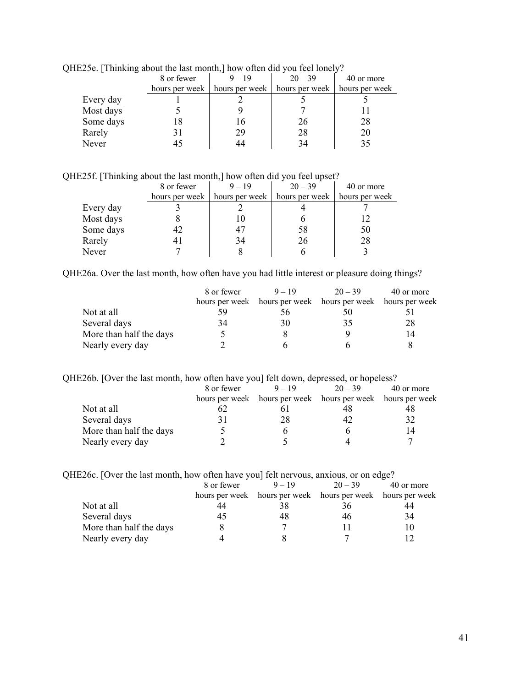|           | $E2JC$ . Thurking about the fast month, frow onen and you feel follery: |          |                                                       |                |  |  |
|-----------|-------------------------------------------------------------------------|----------|-------------------------------------------------------|----------------|--|--|
|           | 8 or fewer                                                              | $9 - 19$ | $20 - 39$                                             | 40 or more     |  |  |
|           | hours per week                                                          |          | hours per week $\parallel$ hours per week $\parallel$ | hours per week |  |  |
| Every day |                                                                         |          |                                                       |                |  |  |
| Most days |                                                                         |          |                                                       |                |  |  |
| Some days |                                                                         | 16       | 26                                                    | 28             |  |  |
| Rarely    |                                                                         | 29       | 28                                                    | 20             |  |  |
| Never     |                                                                         | 44       | 34                                                    | 35             |  |  |
|           |                                                                         |          |                                                       |                |  |  |

QHE25e. [Thinking about the last month,] how often did you feel lonely?

QHE25f. [Thinking about the last month,] how often did you feel upset?

|           | 8 or fewer     | $9 - 19$       | $20 - 39$ | 40 or more                      |
|-----------|----------------|----------------|-----------|---------------------------------|
|           | hours per week | hours per week |           | hours per week   hours per week |
| Every day |                |                |           |                                 |
| Most days |                |                |           | 12                              |
| Some days |                | 47             | 58        | 50                              |
| Rarely    |                | 34             | 26        | 28                              |
| Never     |                |                |           |                                 |

QHE26a. Over the last month, how often have you had little interest or pleasure doing things?

|                         | 8 or fewer | $9 - 19$                                                    | $20 - 39$ | 40 or more |
|-------------------------|------------|-------------------------------------------------------------|-----------|------------|
|                         |            | hours per week hours per week hours per week hours per week |           |            |
| Not at all              |            | 56                                                          |           |            |
| Several days            | 34         | 30                                                          | 35        | 28         |
| More than half the days |            |                                                             |           |            |
| Nearly every day        |            |                                                             |           |            |

|  |  | QHE26b. [Over the last month, how often have you] felt down, depressed, or hopeless? |
|--|--|--------------------------------------------------------------------------------------|
|  |  |                                                                                      |

|                         | 8 or fewer | $9 - 19$                                                    | $20 - 39$ | 40 or more |
|-------------------------|------------|-------------------------------------------------------------|-----------|------------|
|                         |            | hours per week hours per week hours per week hours per week |           |            |
| Not at all              |            |                                                             |           |            |
| Several days            |            | 28                                                          |           | 32         |
| More than half the days |            |                                                             |           | 14         |
| Nearly every day        |            |                                                             |           |            |

| QHE26c. [Over the last month, how often have you] felt nervous, anxious, or on edge? |                                          |  |  |
|--------------------------------------------------------------------------------------|------------------------------------------|--|--|
|                                                                                      | 8 or fewer 9 – 19 – 20 – 39 – 40 or more |  |  |

|                         | 0.0111 |                                                             | $20 - 37$ | TV VI IIIVIV |
|-------------------------|--------|-------------------------------------------------------------|-----------|--------------|
|                         |        | hours per week hours per week hours per week hours per week |           |              |
| Not at all              |        |                                                             | 36        | 44           |
| Several days            | 45     |                                                             | 46        | 34           |
| More than half the days |        |                                                             |           |              |
| Nearly every day        |        |                                                             |           |              |
|                         |        |                                                             |           |              |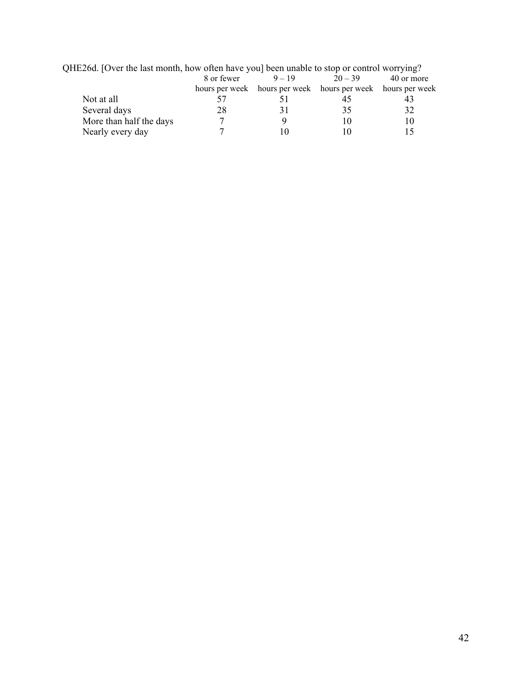| $HEZ$ 0d. TOVET the fast month, now often have you peen unable to stop of control worrying? |            |          |                                                             |            |
|---------------------------------------------------------------------------------------------|------------|----------|-------------------------------------------------------------|------------|
|                                                                                             | 8 or fewer | $9 - 19$ | $20 - 39$                                                   | 40 or more |
|                                                                                             |            |          | hours per week hours per week hours per week hours per week |            |
| Not at all                                                                                  |            |          | 45                                                          |            |
| Several days                                                                                | 28         |          | 35                                                          | 32         |
| More than half the days                                                                     |            |          |                                                             | 10         |
| Nearly every day                                                                            |            |          |                                                             |            |
|                                                                                             |            |          |                                                             |            |

QHE26d. [Over the last month, how often have you] been unable to stop or control worrying?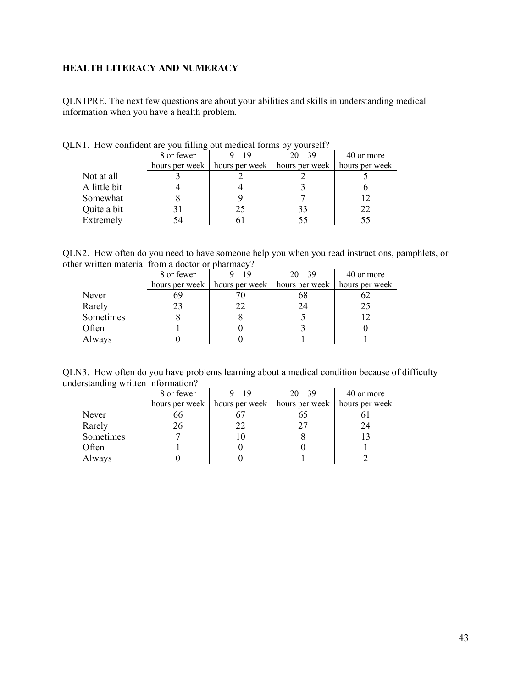### <span id="page-42-0"></span>**HEALTH LITERACY AND NUMERACY**

QLN1PRE. The next few questions are about your abilities and skills in understanding medical information when you have a health problem.

|              | 8 or fewer     | $9 - 19$       | $20 - 39$      | 40 or more     |
|--------------|----------------|----------------|----------------|----------------|
|              | hours per week | hours per week | hours per week | hours per week |
| Not at all   |                |                |                |                |
| A little bit |                |                |                |                |
| Somewhat     |                |                |                | 12             |
| Quite a bit  |                | 25             | 33             | 22             |
| Extremely    | 74             |                |                | 55             |

QLN1. How confident are you filling out medical forms by yourself?

QLN2. How often do you need to have someone help you when you read instructions, pamphlets, or other written material from a doctor or pharmacy?

|           | 8 or fewer | $9 - 19$                        | $20 - 39$      | 40 or more     |
|-----------|------------|---------------------------------|----------------|----------------|
|           |            | hours per week   hours per week | hours per week | hours per week |
| Never     | 69         |                                 | 68             |                |
| Rarely    |            | 22                              | 24             | 25             |
| Sometimes |            |                                 |                |                |
| Often     |            |                                 |                |                |
| Always    |            |                                 |                |                |

QLN3. How often do you have problems learning about a medical condition because of difficulty understanding written information?

|           | 8 or fewer     | $9 - 19$       | $20 - 39$      | 40 or more     |
|-----------|----------------|----------------|----------------|----------------|
|           | hours per week | hours per week | hours per week | hours per week |
| Never     | oo             |                | 00             |                |
| Rarely    | 26             | 22             | 27             | 24             |
| Sometimes |                |                |                |                |
| Often     |                |                |                |                |
| Always    |                |                |                |                |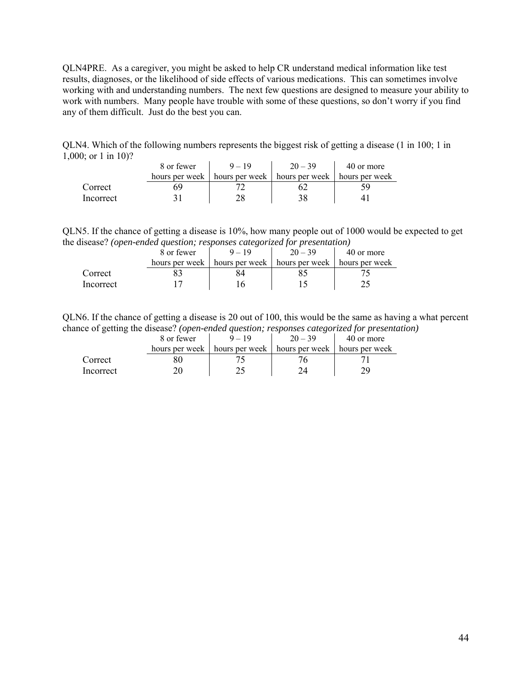QLN4PRE. As a caregiver, you might be asked to help CR understand medical information like test results, diagnoses, or the likelihood of side effects of various medications. This can sometimes involve working with and understanding numbers. The next few questions are designed to measure your ability to work with numbers. Many people have trouble with some of these questions, so don't worry if you find any of them difficult. Just do the best you can.

QLN4. Which of the following numbers represents the biggest risk of getting a disease (1 in 100; 1 in 1,000; or 1 in 10)?

|           | 8 or fewer     | $9 - 19$                                         | $20 - 39$ | 40 or more |
|-----------|----------------|--------------------------------------------------|-----------|------------|
|           | hours per week | hours per week   hours per week   hours per week |           |            |
| Correct   |                |                                                  |           |            |
| Incorrect |                |                                                  |           |            |

QLN5. If the chance of getting a disease is 10%, how many people out of 1000 would be expected to get the disease? *(open-ended question; responses categorized for presentation)*

|           | 8 or fewer     | $Q = 1Q$                                     | $20 - 39$ | 40 or more |
|-----------|----------------|----------------------------------------------|-----------|------------|
|           | hours per week | hours per week hours per week hours per week |           |            |
| Correct   |                |                                              |           |            |
| Incorrect |                |                                              |           |            |

QLN6. If the chance of getting a disease is 20 out of 100, this would be the same as having a what percent chance of getting the disease? *(open-ended question; responses categorized for presentation)*

|           | 8 or fewer     | $-10$          | $20 - 39$                       | 40 or more |
|-----------|----------------|----------------|---------------------------------|------------|
|           | hours per week | hours per week | hours per week   hours per week |            |
| Correct   |                |                |                                 |            |
| Incorrect |                |                |                                 |            |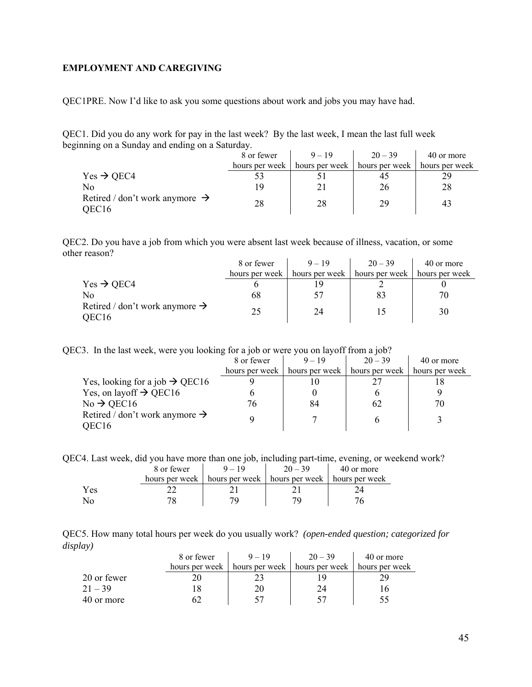### <span id="page-44-0"></span>**EMPLOYMENT AND CAREGIVING**

QEC1PRE. Now I'd like to ask you some questions about work and jobs you may have had.

QEC1. Did you do any work for pay in the last week? By the last week, I mean the last full week beginning on a Sunday and ending on a Saturday.

|                                                     | 8 or fewer     | $9 - 19$         | $20 - 39$        | 40 or more     |
|-----------------------------------------------------|----------------|------------------|------------------|----------------|
|                                                     | hours per week | hours per week 1 | hours per week 1 | hours per week |
| Yes $\rightarrow$ QEC4                              |                |                  |                  | 29             |
| No                                                  | 19             |                  | 26               | 28             |
| Retired / don't work anymore $\rightarrow$<br>OEC16 | 28             | 28               | 29               | 43             |

QEC2. Do you have a job from which you were absent last week because of illness, vacation, or some other reason?  $\mathbf{r}$  $\mathbf{L}$  $\mathbf{r}$ 

|                                                                 | 8 or fewer     | $9 - 19$       | $20 - 39$      | 40 or more     |
|-----------------------------------------------------------------|----------------|----------------|----------------|----------------|
|                                                                 | hours per week | hours per week | hours per week | hours per week |
| $Yes \rightarrow QEC4$                                          |                |                |                |                |
| No                                                              | 68             |                |                | 70             |
| Retired / don't work anymore $\rightarrow$<br>OEC <sub>16</sub> | 25             | 24             |                | 30             |

QEC3. In the last week, were you looking for a job or were you on layoff from a job?

|                                            | 8 or fewer     | $9 - 19$       | $20 - 39$      | 40 or more     |
|--------------------------------------------|----------------|----------------|----------------|----------------|
|                                            | hours per week | hours per week | hours per week | hours per week |
| Yes, looking for a job $\rightarrow$ QEC16 |                |                |                |                |
| Yes, on layoff $\rightarrow$ QEC16         |                |                |                |                |
| $No \rightarrow$ QEC16                     | 76             | 84             | 62             | 70             |
| Retired / don't work anymore $\rightarrow$ |                |                |                |                |
| OEC16                                      |                |                |                |                |

QEC4. Last week, did you have more than one job, including part-time, evening, or weekend work?

|     | 8 or fewer       |                                 | 40 or more     |
|-----|------------------|---------------------------------|----------------|
|     | hours per week 1 | hours per week   hours per week | hours per week |
| Yes |                  |                                 |                |
| No  |                  |                                 |                |

QEC5. How many total hours per week do you usually work? *(open-ended question; categorized for display)* 

|             | 8 or fewer     | $9 - 19$       | $20 - 39$      | 40 or more     |
|-------------|----------------|----------------|----------------|----------------|
|             | hours per week | hours per week | hours per week | hours per week |
| 20 or fewer |                |                |                |                |
| $21 - 39$   |                |                |                | .6             |
| 40 or more  |                |                |                |                |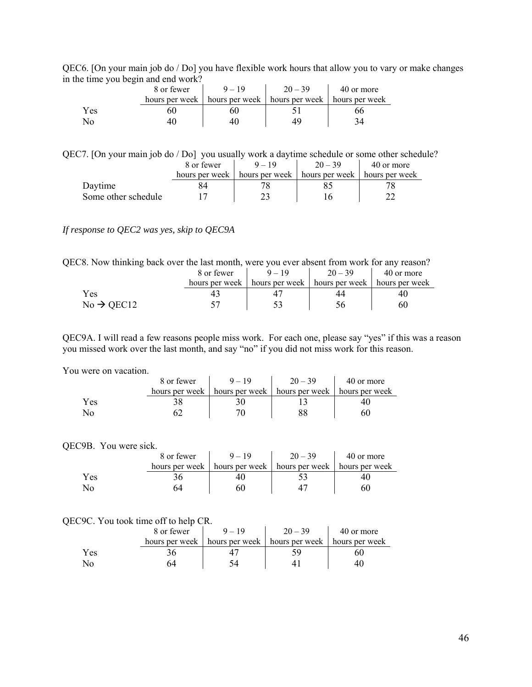QEC6. [On your main job do / Do] you have flexible work hours that allow you to vary or make changes in the time you begin and end work?

| . . | 8 or fewer     | $9 - 19$                                         | $20 - 39$ | 40 or more |
|-----|----------------|--------------------------------------------------|-----------|------------|
|     | hours per week | hours per week   hours per week   hours per week |           |            |
| Yes | วเ,            |                                                  |           |            |
|     |                |                                                  |           |            |

QEC7. [On your main job do / Do] you usually work a daytime schedule or some other schedule?

|                     | 8 or fewer     | $9 - 19$         | $20 - 39$                       | 40 or more |
|---------------------|----------------|------------------|---------------------------------|------------|
|                     | hours per week | hours per week 1 | hours per week   hours per week |            |
| Daytime             |                |                  |                                 |            |
| Some other schedule |                |                  |                                 |            |

### *If response to QEC2 was yes, skip to QEC9A*

QEC8. Now thinking back over the last month, were you ever absent from work for any reason?

|                        | 8 or fewer     | $9 - 19$ | $20 - 39$                                        | 40 or more |
|------------------------|----------------|----------|--------------------------------------------------|------------|
|                        | hours per week |          | hours per week   hours per week   hours per week |            |
| Yes                    |                |          |                                                  |            |
| $No \rightarrow$ QEC12 |                |          |                                                  | 60         |

QEC9A. I will read a few reasons people miss work. For each one, please say "yes" if this was a reason you missed work over the last month, and say "no" if you did not miss work for this reason.

#### You were on vacation.

| WULU VII VAUALIVII. |                |                |                |                |  |  |
|---------------------|----------------|----------------|----------------|----------------|--|--|
|                     | 8 or fewer     | $9 - 19$       | $20 - 39$      | 40 or more     |  |  |
|                     | hours per week | hours per week | hours per week | hours per week |  |  |
| Yes                 |                |                |                |                |  |  |
| No                  |                |                |                | 60             |  |  |

#### QEC9B. You were sick.

|     | 8 or fewer     | $9 - 19$ | $20 - 39$                       | 40 or more     |
|-----|----------------|----------|---------------------------------|----------------|
|     | hours per week |          | hours per week   hours per week | hours per week |
| Yes |                |          |                                 |                |
| NO  | 74             |          |                                 |                |

#### QEC9C. You took time off to help CR.

|     | 8 or fewer |                                                                   | $20 - 39$ | 40 or more |
|-----|------------|-------------------------------------------------------------------|-----------|------------|
|     |            | hours per week   hours per week   hours per week   hours per week |           |            |
| Yes |            |                                                                   |           |            |
| No. |            |                                                                   |           |            |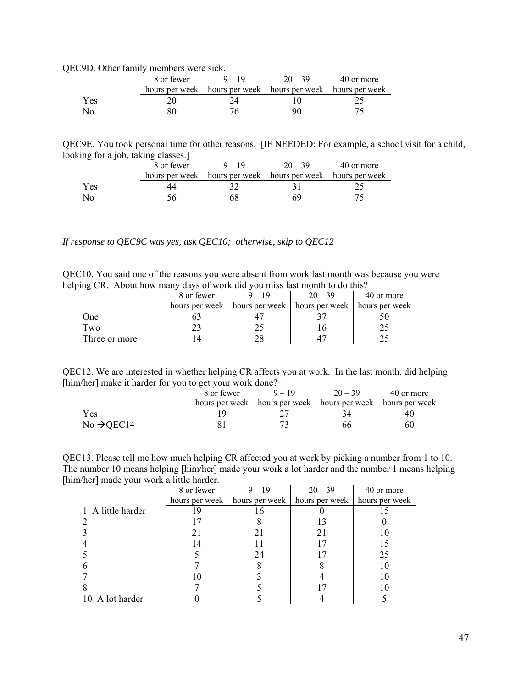QEC9D. Other family members were sick.

|     | 8 or fewer | $9 - 19$                                                          | $20 - 39$ | 40 or more |
|-----|------------|-------------------------------------------------------------------|-----------|------------|
|     |            | hours per week   hours per week   hours per week   hours per week |           |            |
| Yes |            |                                                                   |           |            |
|     |            |                                                                   |           |            |

QEC9E. You took personal time for other reasons. [IF NEEDED: For example, a school visit for a child, looking for a job, taking classes.]

|     | 8 or fewer | $9 - 19$                                                          | $20 - 39$ | 40 or more |
|-----|------------|-------------------------------------------------------------------|-----------|------------|
|     |            | hours per week   hours per week   hours per week   hours per week |           |            |
| Yes |            |                                                                   |           |            |
|     |            |                                                                   |           |            |

*If response to QEC9C was yes, ask QEC10; otherwise, skip to QEC12* 

QEC10. You said one of the reasons you were absent from work last month was because you were helping CR. About how many days of work did you miss last month to do this?

|               | 8 or fewer     | $9 - 19$ | $20 - 39$                       | 40 or more     |
|---------------|----------------|----------|---------------------------------|----------------|
|               | hours per week |          | hours per week   hours per week | hours per week |
| One           |                |          |                                 |                |
| Two           |                |          |                                 |                |
| Three or more |                |          |                                 |                |

QEC12. We are interested in whether helping CR affects you at work. In the last month, did helping [him/her] make it harder for you to get your work done?

|                        | 8 or fewer | $9 - 19$                        | $20 - 39$                       | 40 or more |
|------------------------|------------|---------------------------------|---------------------------------|------------|
|                        |            | hours per week   hours per week | hours per week   hours per week |            |
| Yes                    |            |                                 |                                 | 40         |
| $No \rightarrow$ QEC14 |            |                                 | 66                              | 60         |

QEC13. Please tell me how much helping CR affected you at work by picking a number from 1 to 10. The number 10 means helping [him/her] made your work a lot harder and the number 1 means helping [him/her] made your work a little harder.

|                   | 8 or fewer     | $9 - 19$       | $20 - 39$      | 40 or more     |
|-------------------|----------------|----------------|----------------|----------------|
|                   | hours per week | hours per week | hours per week | hours per week |
| 1 A little harder | -9             | 16             |                |                |
|                   |                |                |                |                |
|                   |                | 21             |                |                |
|                   | 14             |                |                |                |
|                   |                | 24             |                | 25             |
|                   |                |                |                |                |
|                   |                |                |                | 10             |
|                   |                |                |                |                |
| 10 A lot harder   |                |                |                |                |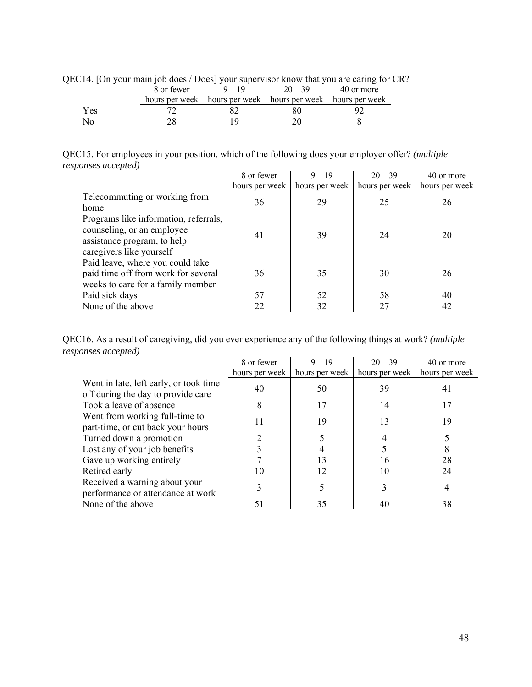| EC14. On your main job does / Does vour supervisor know that you are caring for G |            |          |                                                                   |            |  |  |
|-----------------------------------------------------------------------------------|------------|----------|-------------------------------------------------------------------|------------|--|--|
|                                                                                   | 8 or fewer | $9 - 19$ | $20 - 39$                                                         | 40 or more |  |  |
|                                                                                   |            |          | hours per week   hours per week   hours per week   hours per week |            |  |  |
| Yes                                                                               |            |          | 80                                                                |            |  |  |
| Nο                                                                                |            |          |                                                                   |            |  |  |

QEC14. [On your main job does / Does] your supervisor know that you are caring for CR?

QEC15. For employees in your position, which of the following does your employer offer? *(multiple responses accepted)*  $\mathcal{L}^{\text{max}}$  $\mathcal{L}_{\text{max}}$  $\mathcal{L}_{\mathbf{r}}$ 

|                                                                                                                                | 8 or fewer     | $9 - 19$       | $20 - 39$      | 40 or more     |
|--------------------------------------------------------------------------------------------------------------------------------|----------------|----------------|----------------|----------------|
|                                                                                                                                | hours per week | hours per week | hours per week | hours per week |
| Telecommuting or working from                                                                                                  | 36             | 29             | 25             | 26             |
| home                                                                                                                           |                |                |                |                |
| Programs like information, referrals,<br>counseling, or an employee<br>assistance program, to help<br>caregivers like yourself | 41             | 39             | 24             | 20             |
| Paid leave, where you could take<br>paid time off from work for several<br>weeks to care for a family member                   | 36             | 35             | 30             | 26             |
| Paid sick days                                                                                                                 | 57             | 52             | 58             | 40             |
| None of the above                                                                                                              | 22             | 32             | 27             | 42             |

| QEC16. As a result of caregiving, did you ever experience any of the following things at work? (multiple |  |  |
|----------------------------------------------------------------------------------------------------------|--|--|
| responses accepted)                                                                                      |  |  |

|                                                                              | 8 or fewer     | $9 - 19$       | $20 - 39$      | 40 or more     |
|------------------------------------------------------------------------------|----------------|----------------|----------------|----------------|
|                                                                              | hours per week | hours per week | hours per week | hours per week |
| Went in late, left early, or took time<br>off during the day to provide care | 40             | 50             | 39             | 41             |
| Took a leave of absence                                                      |                | 17             | 14             |                |
| Went from working full-time to<br>part-time, or cut back your hours          | 11             | 19             | 13             | 19             |
| Turned down a promotion                                                      |                |                |                |                |
| Lost any of your job benefits                                                |                |                |                |                |
| Gave up working entirely                                                     |                | 13             | 16             | 28             |
| Retired early                                                                | 10             | 12             | 10             | 24             |
| Received a warning about your<br>performance or attendance at work           |                |                |                |                |
| None of the above                                                            | 51             | 35             | 40             | 38             |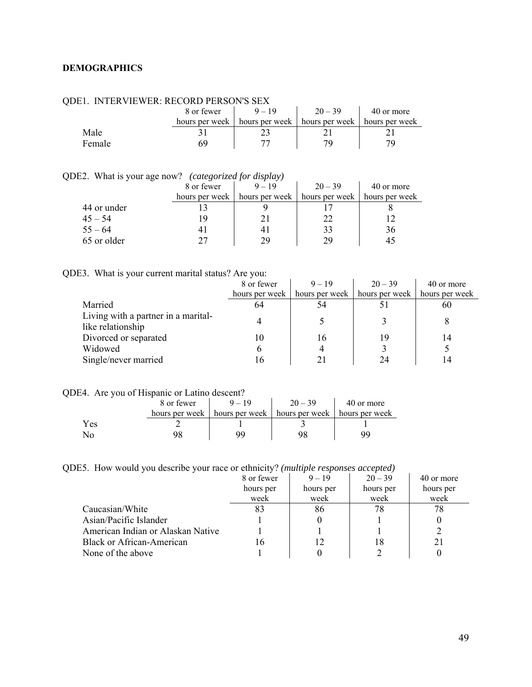### <span id="page-48-0"></span>**DEMOGRAPHICS**

| .      |                |                                 |           |                |  |  |  |
|--------|----------------|---------------------------------|-----------|----------------|--|--|--|
|        | 8 or fewer     | $9 - 19$                        | $20 - 39$ | 40 or more     |  |  |  |
|        | hours per week | hours per week   hours per week |           | hours per week |  |  |  |
| Male   |                |                                 |           |                |  |  |  |
| Female | ĥЧ             |                                 |           |                |  |  |  |

# QDE1. INTERVIEWER: RECORD PERSON'S SEX

QDE2. What is your age now? *(categorized for display)* 

|             | 8 or fewer     | $9 - 19$         | $20 - 39$      | 40 or more     |
|-------------|----------------|------------------|----------------|----------------|
|             | hours per week | hours per week 1 | hours per week | hours per week |
| 44 or under |                |                  |                |                |
| $45 - 54$   | 1 Q            |                  | 22             |                |
| $55 - 64$   |                | 4,               | 33             | 36             |
| 65 or older |                | 29               | 29             |                |

# QDE3. What is your current marital status? Are you:

|                                                          | 8 or fewer     | $9 - 19$       | $20 - 39$      | 40 or more     |
|----------------------------------------------------------|----------------|----------------|----------------|----------------|
|                                                          | hours per week | hours per week | hours per week | hours per week |
| Married                                                  | 64             | 54             |                | 60             |
| Living with a partner in a marital-<br>like relationship |                |                |                |                |
| Divorced or separated                                    | 10             | 16             | 19             | 14             |
| Widowed                                                  |                |                |                |                |
| Single/never married                                     | i 6            |                | 24             | 4              |

# QDE4. Are you of Hispanic or Latino descent?

|      | 8 or fewer | $9 - 19$                                                          | $20 - 39$ | 40 or more |
|------|------------|-------------------------------------------------------------------|-----------|------------|
|      |            | hours per week   hours per week   hours per week   hours per week |           |            |
| Y es |            |                                                                   |           |            |
|      |            |                                                                   |           |            |

### QDE5. How would you describe your race or ethnicity? *(multiple responses accepted)*

|                                   | 8 or fewer | $9 - 19$  | $20 - 39$ | 40 or more |
|-----------------------------------|------------|-----------|-----------|------------|
|                                   | hours per  | hours per | hours per | hours per  |
|                                   | week       | week      | week      | week       |
| Caucasian/White                   | 83         | 86        | 78        | 78         |
| Asian/Pacific Islander            |            |           |           |            |
| American Indian or Alaskan Native |            |           |           |            |
| <b>Black or African-American</b>  | 16         | 12        | 18        |            |
| None of the above                 |            |           |           |            |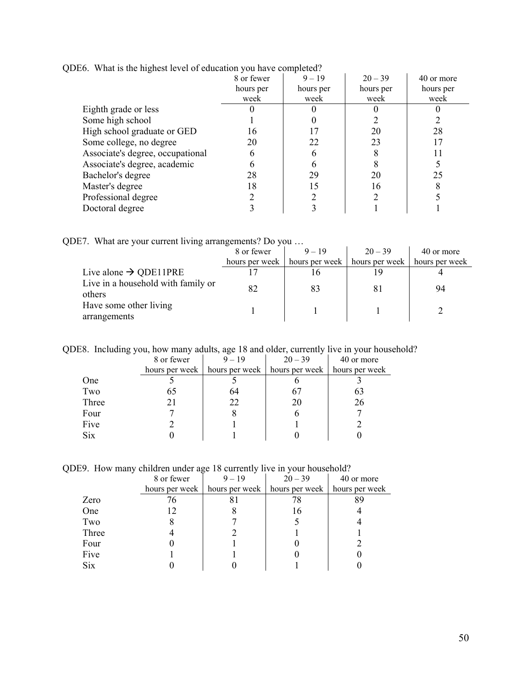|                                  | 8 or fewer | $9 - 19$  | $20 - 39$ | 40 or more |
|----------------------------------|------------|-----------|-----------|------------|
|                                  | hours per  | hours per | hours per | hours per  |
|                                  | week       | week      | week      | week       |
| Eighth grade or less             |            |           |           |            |
| Some high school                 |            |           |           |            |
| High school graduate or GED      | 16         |           | 20        | 28         |
| Some college, no degree          | 20         | 22        | 23        | 17         |
| Associate's degree, occupational | h          |           |           |            |
| Associate's degree, academic     |            |           |           |            |
| Bachelor's degree                | 28         | 29        | 20        | 25         |
| Master's degree                  | 18         | 15        | 16        |            |
| Professional degree              |            |           |           |            |
| Doctoral degree                  |            |           |           |            |

QDE6. What is the highest level of education you have completed?

QDE7. What are your current living arrangements? Do you …

|                                              | 8 or fewer     | $9 - 19$       | $20 - 39$      | 40 or more     |
|----------------------------------------------|----------------|----------------|----------------|----------------|
|                                              | hours per week | hours per week | hours per week | hours per week |
| Live alone $\rightarrow$ QDE11PRE            |                |                | 19             |                |
| Live in a household with family or<br>others | 82             | 83             |                | 94             |
| Have some other living<br>arrangements       |                |                |                |                |

QDE8. Including you, how many adults, age 18 and older, currently live in your household?

|            | 8 or fewer | $9 - 19$ | $20 - 39$                                                         | 40 or more |
|------------|------------|----------|-------------------------------------------------------------------|------------|
|            |            |          | hours per week   hours per week   hours per week   hours per week |            |
| One        |            |          |                                                                   |            |
| Two        | 65         | 64       |                                                                   | 63         |
| Three      | 21         | 22       | 20                                                                | 26         |
| Four       |            |          |                                                                   |            |
| Five       |            |          |                                                                   |            |
| <b>Six</b> |            |          |                                                                   |            |

QDE9. How many children under age 18 currently live in your household?

|            | 8 or fewer     | $9 - 19$       | $20 - 39$      | 40 or more     |
|------------|----------------|----------------|----------------|----------------|
|            | hours per week | hours per week | hours per week | hours per week |
| Zero       |                | 81             | 78             |                |
| One        |                |                | 16             |                |
| Two        |                |                |                |                |
| Three      |                |                |                |                |
| Four       |                |                |                |                |
| Five       |                |                |                |                |
| <b>Six</b> |                |                |                |                |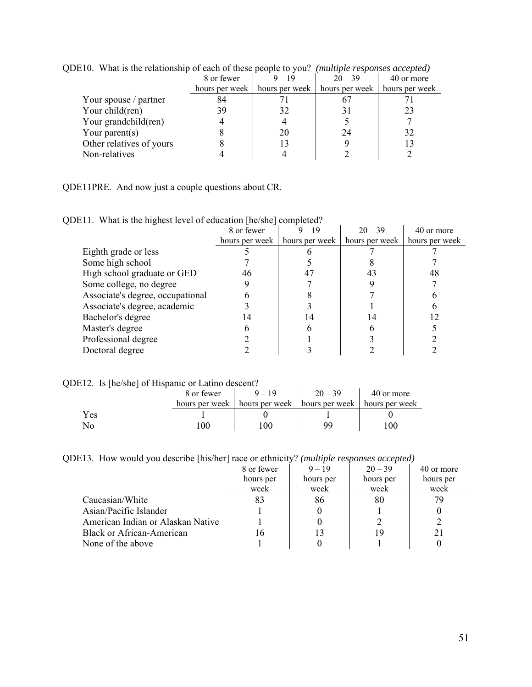| $\mu$                    |            |          |                                                                   |            |  |  |
|--------------------------|------------|----------|-------------------------------------------------------------------|------------|--|--|
|                          | 8 or fewer | $9 - 19$ | $20 - 39$                                                         | 40 or more |  |  |
|                          |            |          | hours per week   hours per week   hours per week   hours per week |            |  |  |
| Your spouse / partner    | 84         |          |                                                                   |            |  |  |
| Your child(ren)          | 39         | 32       |                                                                   | 23         |  |  |
| Your grandchild(ren)     |            |          |                                                                   |            |  |  |
| Your parent $(s)$        |            | 20       | 24                                                                | 32         |  |  |
| Other relatives of yours |            |          |                                                                   |            |  |  |
| Non-relatives            |            |          |                                                                   |            |  |  |
|                          |            |          |                                                                   |            |  |  |

QDE10. What is the relationship of each of these people to you? *(multiple responses accepted)* 

QDE11PRE. And now just a couple questions about CR.

|  | QDE11. What is the highest level of education [he/she] completed? |  |  |
|--|-------------------------------------------------------------------|--|--|
|--|-------------------------------------------------------------------|--|--|

|                                  | 8 or fewer     | $9 - 19$       | $20 - 39$      | 40 or more     |
|----------------------------------|----------------|----------------|----------------|----------------|
|                                  | hours per week | hours per week | hours per week | hours per week |
| Eighth grade or less             |                |                |                |                |
| Some high school                 |                |                |                |                |
| High school graduate or GED      | 46             |                | 43             | 48             |
| Some college, no degree          |                |                |                |                |
| Associate's degree, occupational |                |                |                |                |
| Associate's degree, academic     |                |                |                |                |
| Bachelor's degree                |                |                |                |                |
| Master's degree                  |                |                |                |                |
| Professional degree              |                |                |                |                |
| Doctoral degree                  |                |                |                |                |

QDE12. Is [he/she] of Hispanic or Latino descent?

|      | 8 or fewer | $9 - 19$                                                          | $20 - 39$ | 40 or more |
|------|------------|-------------------------------------------------------------------|-----------|------------|
|      |            | hours per week   hours per week   hours per week   hours per week |           |            |
| Y es |            |                                                                   |           |            |
|      | 00         | -00                                                               |           | $_{00}$    |

QDE13. How would you describe [his/her] race or ethnicity? *(multiple responses accepted)*

|                                   | 8 or fewer | $9 - 19$  | $20 - 39$ | 40 or more |
|-----------------------------------|------------|-----------|-----------|------------|
|                                   | hours per  | hours per | hours per | hours per  |
|                                   | week       | week      | week      | week       |
| Caucasian/White                   | 83         | 86        | 80        | 79         |
| Asian/Pacific Islander            |            |           |           |            |
| American Indian or Alaskan Native |            |           |           |            |
| Black or African-American         | 16         | 13        | 19        | 21         |
| None of the above                 |            |           |           |            |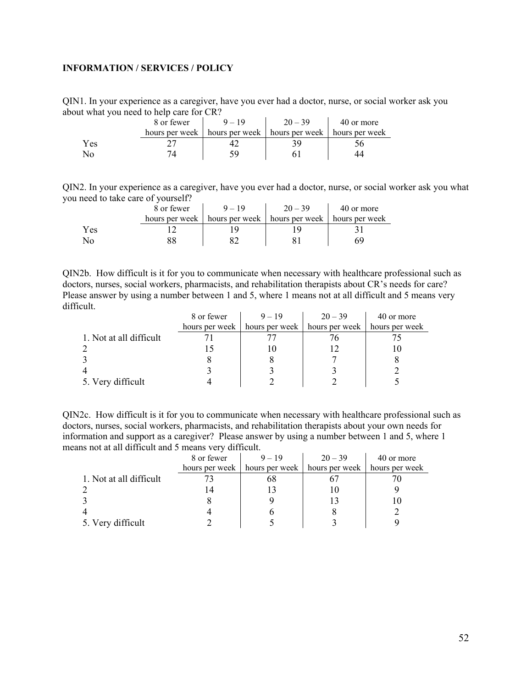### <span id="page-51-0"></span>**INFORMATION / SERVICES / POLICY**

QIN1. In your experience as a caregiver, have you ever had a doctor, nurse, or social worker ask you about what you need to help care for CR?

| .   |            |                                                                   |           |            |  |  |  |
|-----|------------|-------------------------------------------------------------------|-----------|------------|--|--|--|
|     | 8 or fewer | $9 - 19$                                                          | $20 - 39$ | 40 or more |  |  |  |
|     |            | hours per week   hours per week   hours per week   hours per week |           |            |  |  |  |
| Yes |            |                                                                   |           |            |  |  |  |
|     |            |                                                                   |           |            |  |  |  |

QIN2. In your experience as a caregiver, have you ever had a doctor, nurse, or social worker ask you what you need to take care of yourself?

|     | 8 or fewer | $9 - 19$ | $20 - 39$                                                         | 40 or more |
|-----|------------|----------|-------------------------------------------------------------------|------------|
|     |            |          | hours per week   hours per week   hours per week   hours per week |            |
| Yes |            |          |                                                                   |            |
|     |            |          |                                                                   |            |

QIN2b. How difficult is it for you to communicate when necessary with healthcare professional such as doctors, nurses, social workers, pharmacists, and rehabilitation therapists about CR's needs for care? Please answer by using a number between 1 and 5, where 1 means not at all difficult and 5 means very difficult.

|                         | 8 or fewer | $9 - 19$                                              | $20 - 39$      | 40 or more     |
|-------------------------|------------|-------------------------------------------------------|----------------|----------------|
|                         |            | hours per week $\parallel$ hours per week $\parallel$ | hours per week | hours per week |
| 1. Not at all difficult |            |                                                       |                |                |
|                         |            |                                                       |                |                |
|                         |            |                                                       |                |                |
|                         |            |                                                       |                |                |
| 5. Very difficult       |            |                                                       |                |                |

QIN2c. How difficult is it for you to communicate when necessary with healthcare professional such as doctors, nurses, social workers, pharmacists, and rehabilitation therapists about your own needs for information and support as a caregiver? Please answer by using a number between 1 and 5, where 1 means not at all difficult and 5 means very difficult.

|                         | 8 or fewer     | $9 - 19$       | $20 - 39$      | 40 or more     |
|-------------------------|----------------|----------------|----------------|----------------|
|                         | hours per week | hours per week | hours per week | hours per week |
| 1. Not at all difficult |                | oð             |                |                |
|                         |                |                |                |                |
|                         |                |                |                |                |
|                         |                |                |                |                |
| 5. Very difficult       |                |                |                |                |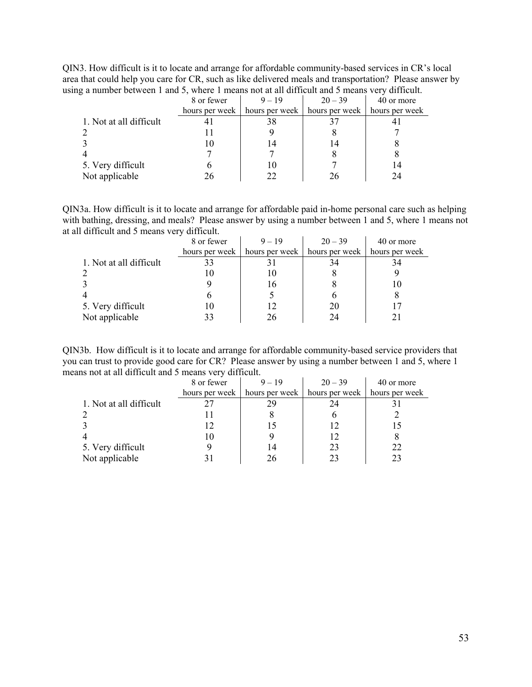QIN3. How difficult is it to locate and arrange for affordable community-based services in CR's local area that could help you care for CR, such as like delivered meals and transportation? Please answer by using a number between 1 and 5, where 1 means not at all difficult and 5 means very difficult.

|                         | 8 or fewer     | $9 - 19$                        | $20 - 39$ | 40 or more     |
|-------------------------|----------------|---------------------------------|-----------|----------------|
|                         | hours per week | hours per week   hours per week |           | hours per week |
| 1. Not at all difficult |                | 38                              |           |                |
| 2                       |                |                                 |           |                |
|                         |                |                                 | 14        |                |
| $\overline{4}$          |                |                                 |           |                |
| 5. Very difficult       |                |                                 |           | 14             |
| Not applicable          |                |                                 | 26        | 24             |
|                         |                |                                 |           |                |

QIN3a. How difficult is it to locate and arrange for affordable paid in-home personal care such as helping with bathing, dressing, and meals? Please answer by using a number between 1 and 5, where 1 means not at all difficult and 5 means very difficult.

|                         | 8 or fewer | $9 - 19$                                                             | $20 - 39$ | 40 or more     |
|-------------------------|------------|----------------------------------------------------------------------|-----------|----------------|
|                         |            | hours per week $\parallel$ hours per week $\parallel$ hours per week |           | hours per week |
| 1. Not at all difficult |            |                                                                      | 34        | 34             |
|                         |            |                                                                      |           |                |
|                         |            | 16                                                                   |           |                |
|                         |            |                                                                      |           |                |
| 5. Very difficult       |            |                                                                      | 20        |                |
| Not applicable          |            |                                                                      | 24        |                |

QIN3b. How difficult is it to locate and arrange for affordable community-based service providers that you can trust to provide good care for CR? Please answer by using a number between 1 and 5, where 1 means not at all difficult and 5 means very difficult.

|                         | 8 or fewer     | $9 - 19$ | $20 - 39$                       | 40 or more     |
|-------------------------|----------------|----------|---------------------------------|----------------|
|                         | hours per week |          | hours per week   hours per week | hours per week |
| 1. Not at all difficult |                | 29       |                                 |                |
|                         |                |          |                                 |                |
|                         |                |          |                                 |                |
|                         |                |          |                                 |                |
| 5. Very difficult       |                |          | 23                              | 22             |
| Not applicable          |                |          | 23                              | 23             |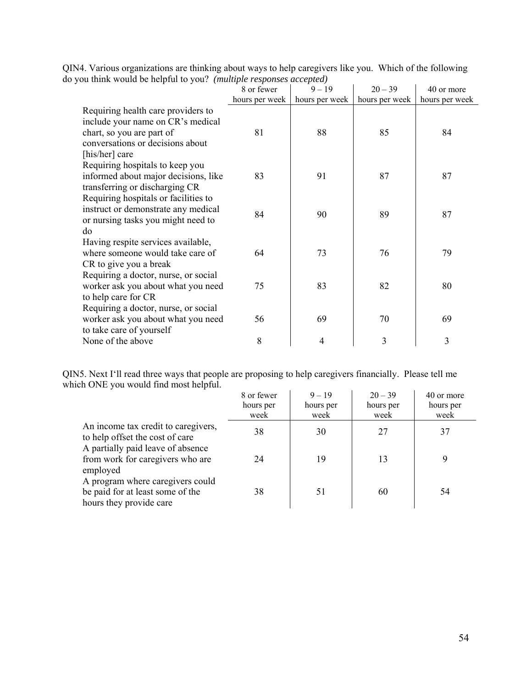|                                                                     | QIN4. Various organizations are thinking about ways to help caregivers like you. Which of the following |  |
|---------------------------------------------------------------------|---------------------------------------------------------------------------------------------------------|--|
| do you think would be helpful to you? (multiple responses accepted) |                                                                                                         |  |

|                                                                                                                                                            | 8 or fewer     | $9 - 19$       | $20 - 39$      | 40 or more     |
|------------------------------------------------------------------------------------------------------------------------------------------------------------|----------------|----------------|----------------|----------------|
|                                                                                                                                                            | hours per week | hours per week | hours per week | hours per week |
| Requiring health care providers to<br>include your name on CR's medical<br>chart, so you are part of<br>conversations or decisions about<br>[his/her] care | 81             | 88             | 85             | 84             |
| Requiring hospitals to keep you<br>informed about major decisions, like<br>transferring or discharging CR                                                  | 83             | 91             | 87             | 87             |
| Requiring hospitals or facilities to<br>instruct or demonstrate any medical<br>or nursing tasks you might need to<br>do                                    | 84             | 90             | 89             | 87             |
| Having respite services available,<br>where someone would take care of<br>CR to give you a break                                                           | 64             | 73             | 76             | 79             |
| Requiring a doctor, nurse, or social<br>worker ask you about what you need<br>to help care for CR                                                          | 75             | 83             | 82             | 80             |
| Requiring a doctor, nurse, or social<br>worker ask you about what you need<br>to take care of yourself                                                     | 56             | 69             | 70             | 69             |
| None of the above                                                                                                                                          | 8              | 4              | 3              | $\mathfrak{Z}$ |

QIN5. Next I'll read three ways that people are proposing to help caregivers financially. Please tell me which ONE you would find most helpful.

|                                                                                                             | 8 or fewer | $9 - 19$  | $20 - 39$ | 40 or more |
|-------------------------------------------------------------------------------------------------------------|------------|-----------|-----------|------------|
|                                                                                                             | hours per  | hours per | hours per | hours per  |
|                                                                                                             | week       | week      | week      | week       |
| An income tax credit to caregivers,<br>to help offset the cost of care<br>A partially paid leave of absence | 38         | 30        | 27        | 37         |
| from work for caregivers who are<br>employed                                                                | 24         | 19        | 13        | 9          |
| A program where caregivers could<br>be paid for at least some of the<br>hours they provide care             | 38         | 51        | 60        | 54         |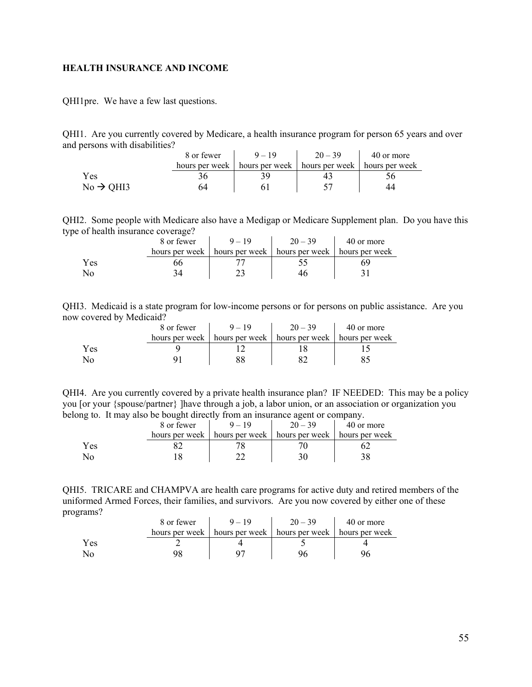### <span id="page-54-0"></span>**HEALTH INSURANCE AND INCOME**

QHI1pre. We have a few last questions.

QHI1. Are you currently covered by Medicare, a health insurance program for person 65 years and over and persons with disabilities?

|                       | 8 or fewer | $9 - 19$ | $20 - 39$                                                         | 40 or more |
|-----------------------|------------|----------|-------------------------------------------------------------------|------------|
|                       |            |          | hours per week   hours per week   hours per week   hours per week |            |
| Yes                   |            |          |                                                                   |            |
| $No \rightarrow OH13$ | 54         |          |                                                                   | 44         |

QHI2. Some people with Medicare also have a Medigap or Medicare Supplement plan. Do you have this type of health insurance coverage?

|     | 8 or fewer     | $9 - 19$       | $20 - 39$                       | 40 or more |
|-----|----------------|----------------|---------------------------------|------------|
|     | hours per week | hours per week | hours per week   hours per week |            |
| Yes |                |                |                                 | ٦Y         |
|     |                |                |                                 |            |

QHI3. Medicaid is a state program for low-income persons or for persons on public assistance. Are you now covered by Medicaid?

|     | 8 or fewer     |                                                  | $20 - 39$ | 40 or more |
|-----|----------------|--------------------------------------------------|-----------|------------|
|     | hours per week | hours per week   hours per week   hours per week |           |            |
| Yes |                |                                                  |           |            |
| No  |                |                                                  |           |            |

QHI4. Are you currently covered by a private health insurance plan? IF NEEDED: This may be a policy you [or your {spouse/partner} ]have through a job, a labor union, or an association or organization you belong to. It may also be bought directly from an insurance agent or company.

| ຼ   | 8 or fewer | $=10$                           | $20 - 39$      | 40 or more     |
|-----|------------|---------------------------------|----------------|----------------|
|     |            | hours per week   hours per week | hours per week | hours per week |
| Yes |            |                                 |                |                |
|     |            |                                 |                |                |

QHI5. TRICARE and CHAMPVA are health care programs for active duty and retired members of the uniformed Armed Forces, their families, and survivors. Are you now covered by either one of these programs?

|     | 8 or fewer |                                                                   | $20 - 39$ | 40 or more |
|-----|------------|-------------------------------------------------------------------|-----------|------------|
|     |            | hours per week   hours per week   hours per week   hours per week |           |            |
| Yes |            |                                                                   |           |            |
|     |            |                                                                   |           |            |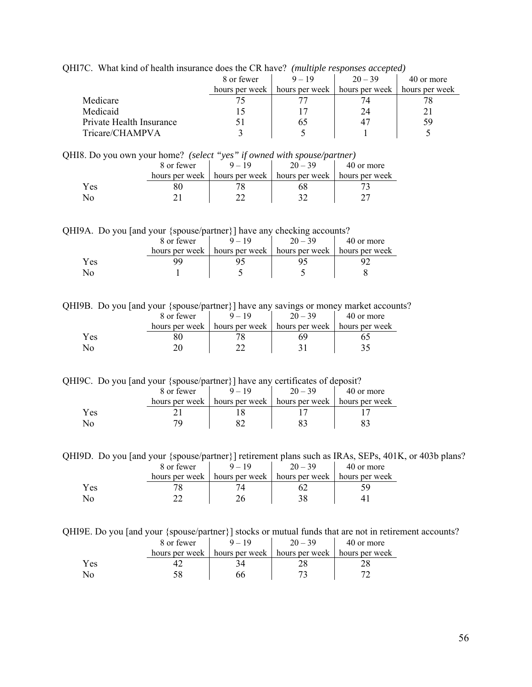| $9 - 19$<br>$20 - 39$<br>8 or fewer              | 40 or more     |
|--------------------------------------------------|----------------|
|                                                  |                |
| hours per week   hours per week   hours per week | hours per week |
| Medicare                                         |                |
| Medicaid<br>24                                   |                |
| Private Health Insurance<br>60                   | 59             |
| Tricare/CHAMPVA                                  |                |

QHI7C. What kind of health insurance does the CR have? *(multiple responses accepted)* 

QHI8. Do you own your home? *(select "yes" if owned with spouse/partner)* 

|     | 8 or fewer     |                                                  | 40 or more |
|-----|----------------|--------------------------------------------------|------------|
|     | hours per week | hours per week   hours per week   hours per week |            |
| Yes |                |                                                  |            |
|     |                |                                                  |            |

QHI9A. Do you [and your {spouse/partner}] have any checking accounts?

|     | 8 or fewer     |                  | $20 - 39$      | 40 or more     |
|-----|----------------|------------------|----------------|----------------|
|     | hours per week | hours per week 1 | hours per week | hours per week |
| Yes |                |                  |                |                |
|     |                |                  |                |                |

QHI9B. Do you [and your {spouse/partner}] have any savings or money market accounts?

|     | 8 or fewer     |                | $20 - 39$      | 40 or more     |
|-----|----------------|----------------|----------------|----------------|
|     | hours per week | hours per week | hours per week | hours per week |
| Yes |                |                |                |                |
|     |                |                |                |                |

QHI9C. Do you [and your {spouse/partner}] have any certificates of deposit?

|     | 8 or fewer | $20 - 39$                                                         | 40 or more |
|-----|------------|-------------------------------------------------------------------|------------|
|     |            | hours per week   hours per week   hours per week   hours per week |            |
| Yes |            |                                                                   |            |
|     |            |                                                                   |            |

QHI9D. Do you [and your {spouse/partner}] retirement plans such as IRAs, SEPs, 401K, or 403b plans? 8 or fewer  $9 - 19$   $20 - 39$   $40$  or more

|      | 0.0110001 |                                                                   | $\sim$ $\cdot$ | $19.91$ more |
|------|-----------|-------------------------------------------------------------------|----------------|--------------|
|      |           | hours per week   hours per week   hours per week   hours per week |                |              |
| Y es |           |                                                                   |                |              |
| Nc   |           |                                                                   |                |              |

QHI9E. Do you [and your {spouse/partner}] stocks or mutual funds that are not in retirement accounts?

|     | 8 or fewer     |                                                  | $20 - 39$ | 40 or more |
|-----|----------------|--------------------------------------------------|-----------|------------|
|     | hours per week | hours per week   hours per week   hours per week |           |            |
| Yes |                |                                                  |           |            |
| No  |                |                                                  |           |            |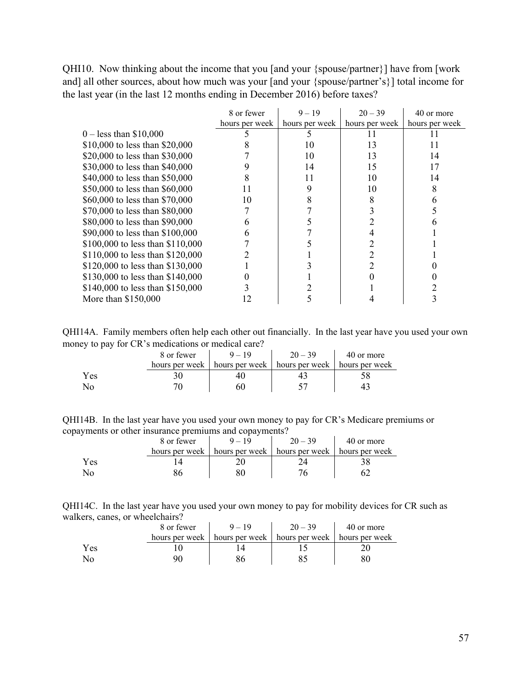QHI10. Now thinking about the income that you [and your {spouse/partner}] have from [work and] all other sources, about how much was your [and your {spouse/partner's}] total income for the last year (in the last 12 months ending in December 2016) before taxes?

|                                  | 8 or fewer     | $9 - 19$       | $20 - 39$      | 40 or more     |
|----------------------------------|----------------|----------------|----------------|----------------|
|                                  | hours per week | hours per week | hours per week | hours per week |
| $0 -$ less than \$10,000         |                |                | 11             |                |
| \$10,000 to less than \$20,000   |                | 10             | 13             | 11             |
| \$20,000 to less than \$30,000   |                | 10             | 13             | 14             |
| \$30,000 to less than \$40,000   |                | 14             | 15             | 17             |
| \$40,000 to less than \$50,000   | 8              | 11             | 10             | 14             |
| \$50,000 to less than \$60,000   | 11             | 9              | 10             |                |
| \$60,000 to less than \$70,000   | 10             |                |                |                |
| \$70,000 to less than \$80,000   |                |                |                |                |
| \$80,000 to less than \$90,000   | 6              |                |                |                |
| \$90,000 to less than \$100,000  | 6              |                |                |                |
| \$100,000 to less than \$110,000 |                |                |                |                |
| \$110,000 to less than \$120,000 |                |                |                |                |
| \$120,000 to less than \$130,000 |                |                |                |                |
| \$130,000 to less than \$140,000 |                |                |                |                |
| \$140,000 to less than \$150,000 |                |                |                |                |
| More than \$150,000              | 12             |                |                |                |

QHI14A. Family members often help each other out financially. In the last year have you used your own money to pay for CR's medications or medical care?

| -   | 8 or fewer     | $9 - 19$                                         | $20 - 39$ | 40 or more |
|-----|----------------|--------------------------------------------------|-----------|------------|
|     | hours per week | hours per week   hours per week   hours per week |           |            |
| Yes |                |                                                  |           |            |
| No  |                |                                                  |           |            |

| QHI14B. In the last year have you used your own money to pay for CR's Medicare premiums or |  |  |  |
|--------------------------------------------------------------------------------------------|--|--|--|
| copayments or other insurance premiums and copayments?                                     |  |  |  |

|     | 8 or fewer     |                                 | $20 - 39$ | 40 or more     |
|-----|----------------|---------------------------------|-----------|----------------|
|     | hours per week | hours per week   hours per week |           | hours per week |
| Yes |                |                                 |           |                |
|     |                |                                 |           |                |

QHI14C. In the last year have you used your own money to pay for mobility devices for CR such as walkers, canes, or wheelchairs?

|     | 8 or fewer     | $9 - 19$ | $20 - 39$                                        | 40 or more |
|-----|----------------|----------|--------------------------------------------------|------------|
|     | hours per week |          | hours per week   hours per week   hours per week |            |
| Yes |                |          |                                                  |            |
|     |                |          |                                                  |            |